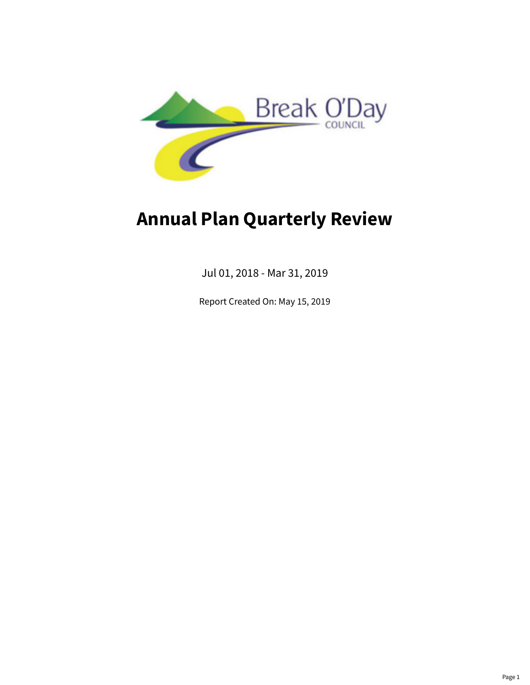

# **Annual Plan Quarterly Review**

Jul 01, 2018 - Mar 31, 2019

Report Created On: May 15, 2019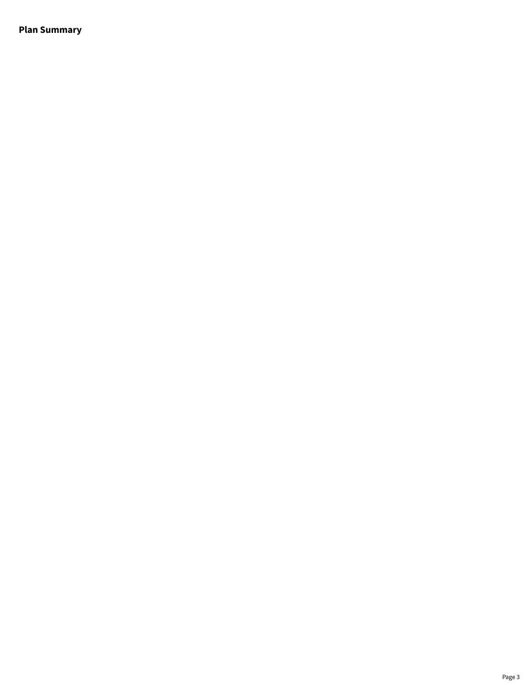**Plan Summary**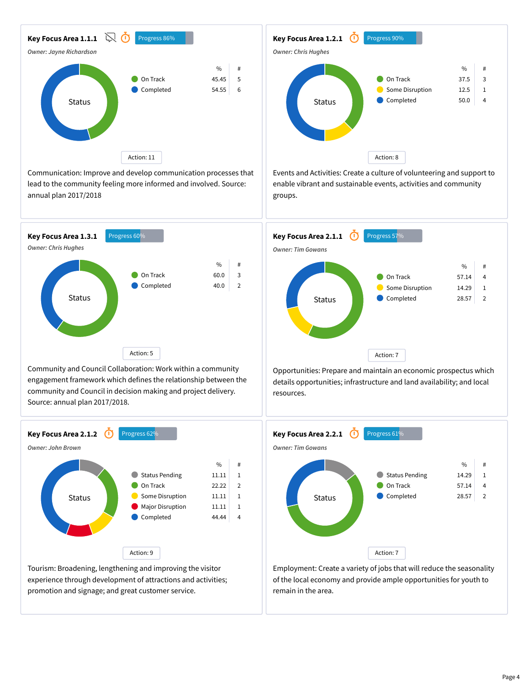

Communication: Improve and develop communication processes that lead to the community feeling more informed and involved. Source: annual plan 2017/2018



Community and Council Collaboration: Work within a community engagement framework which defines the relationship between the community and Council in decision making and project delivery. Source: annual plan 2017/2018.



experience through development of attractions and activities; promotion and signage; and great customer service.



Events and Activities: Create a culture of volunteering and support to enable vibrant and sustainable events, activities and community groups.



Opportunities: Prepare and maintain an economic prospectus which details opportunities; infrastructure and land availability; and local resources.



Employment: Create a variety of jobs that will reduce the seasonality of the local economy and provide ample opportunities for youth to remain in the area.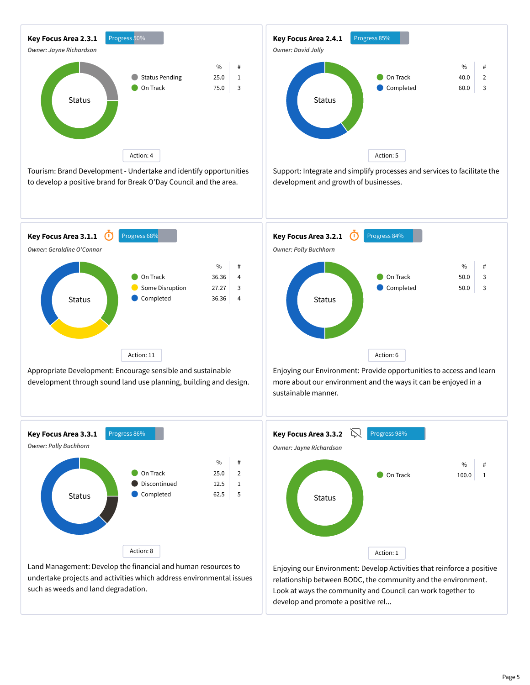

Tourism: Brand Development - Undertake and identify opportunities to develop a positive brand for Break O'Day Council and the area.



Support: Integrate and simplify processes and services to facilitate the development and growth of businesses.



Appropriate Development: Encourage sensible and sustainable development through sound land use planning, building and design.



Enjoying our Environment: Provide opportunities to access and learn more about our environment and the ways it can be enjoyed in a sustainable manner.



Land Management: Develop the financial and human resources to undertake projects and activities which address environmental issues such as weeds and land degradation.



Enjoying our Environment: Develop Activities that reinforce a positive relationship between BODC, the community and the environment. Look at ways the community and Council can work together to develop and promote a positive rel...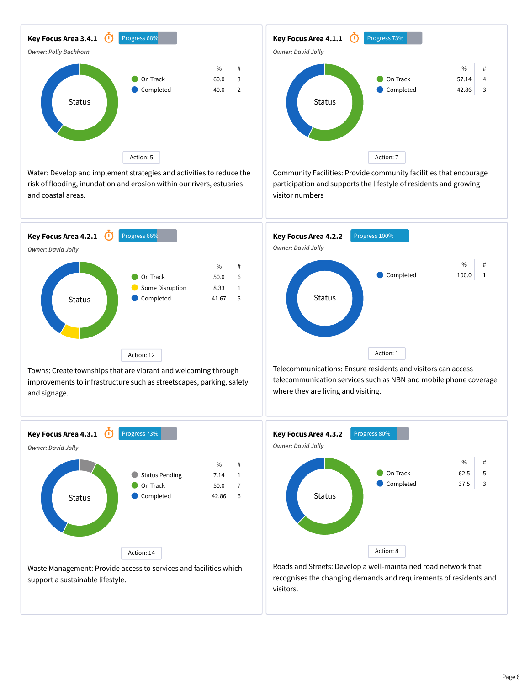

Water: Develop and implement strategies and activities to reduce the risk of flooding, inundation and erosion within our rivers, estuaries and coastal areas.



Towns: Create townships that are vibrant and welcoming through improvements to infrastructure such as streetscapes, parking, safety and signage.



support a sustainable lifestyle.



Community Facilities: Provide community facilities that encourage participation and supports the lifestyle of residents and growing visitor numbers



Telecommunications: Ensure residents and visitors can access telecommunication services such as NBN and mobile phone coverage where they are living and visiting.



Roads and Streets: Develop a well-maintained road network that recognises the changing demands and requirements of residents and visitors.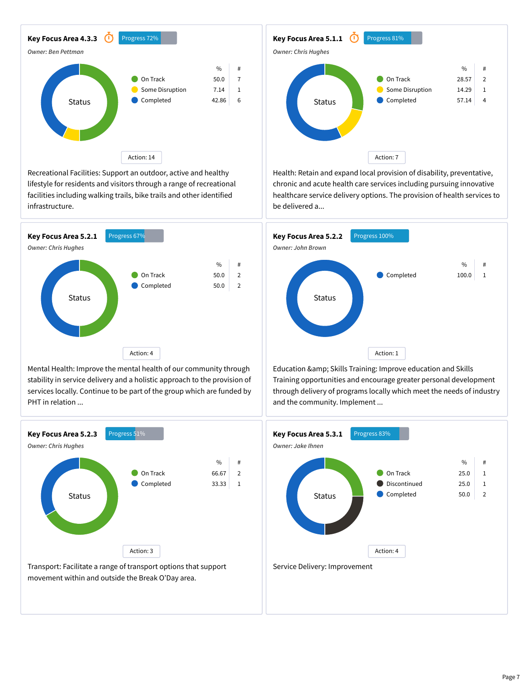

Recreational Facilities: Support an outdoor, active and healthy lifestyle for residents and visitors through a range of recreational facilities including walking trails, bike trails and other identified infrastructure.



Mental Health: Improve the mental health of our community through stability in service delivery and a holistic approach to the provision of services locally. Continue to be part of the group which are funded by PHT in relation ...





Health: Retain and expand local provision of disability, preventative, chronic and acute health care services including pursuing innovative healthcare service delivery options. The provision of health services to be delivered a...



Education & amp; Skills Training: Improve education and Skills Training opportunities and encourage greater personal development through delivery of programs locally which meet the needs of industry and the community. Implement ...

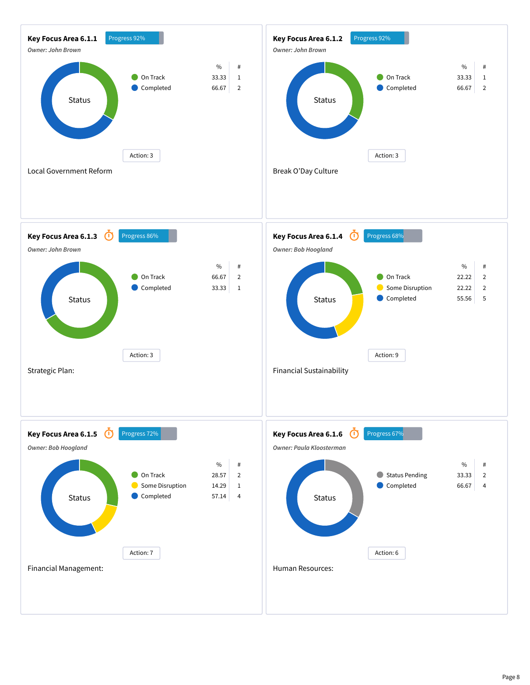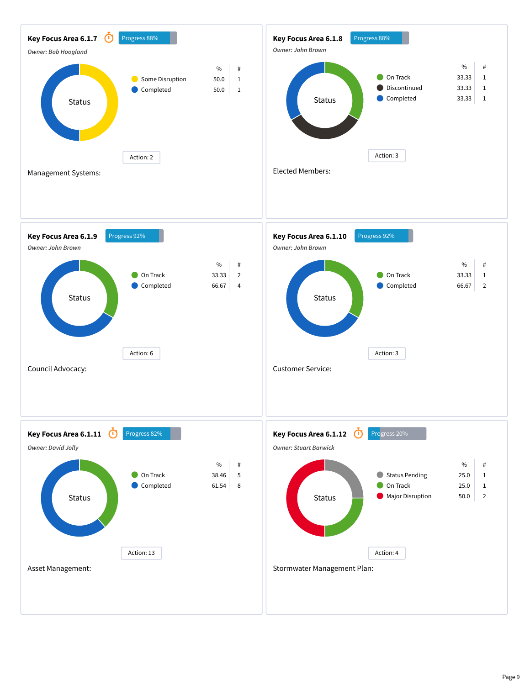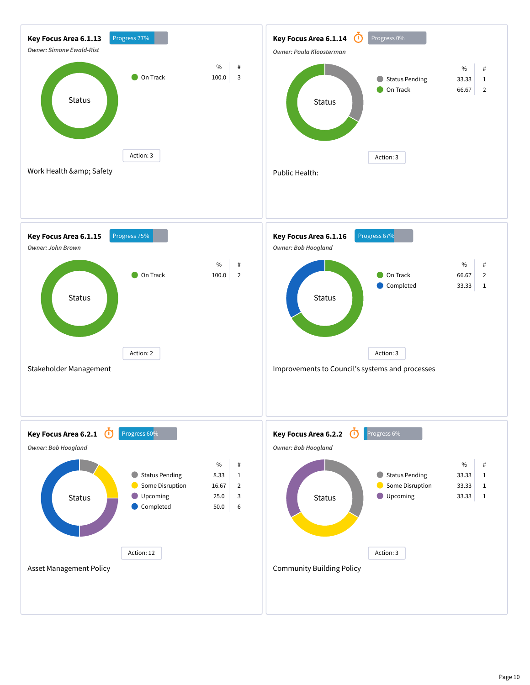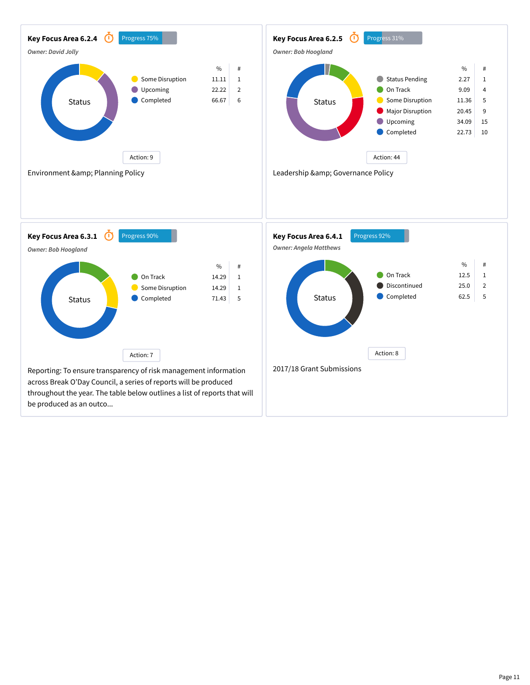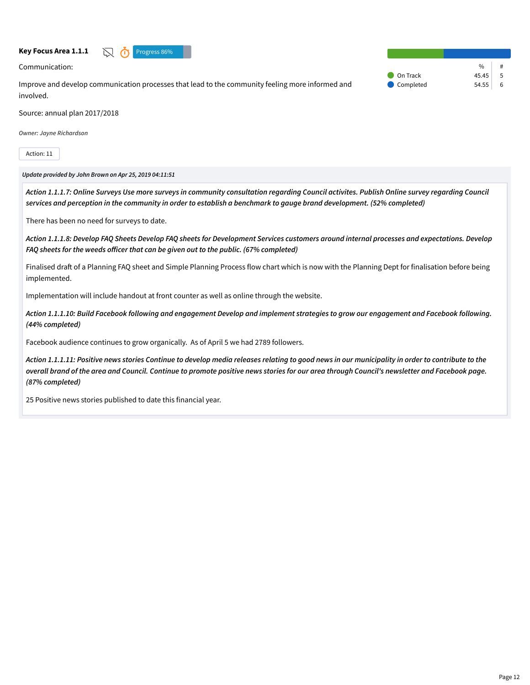

Communication:

Improve and develop communication processes that lead to the community feeling more informed and involved.

 $\%$ On Track  $45.45$  5 Completed 54.55 6

Source: annual plan 2017/2018

*Owner: Jayne Richardson*

Action: 11

#### *Update provided by John Brown on Apr 25, 2019 04:11:51*

*Action 1.1.1.7: Online Surveys Use more surveys in community consultation regarding Council activites. Publish Online survey regarding Council services and perception in the community in order to establish a benchmark to gauge brand development. (52% completed)*

There has been no need for surveys to date.

*Action 1.1.1.8: Develop FAQ Sheets Develop FAQ sheets for Development Services customers around internal processes and expectations. Develop FAQ sheets for the weeds officer that can be given out to the public. (67% completed)*

Finalised draft of a Planning FAQ sheet and Simple Planning Process flow chart which is now with the Planning Dept for finalisation before being implemented.

Implementation will include handout at front counter as well as online through the website.

*Action 1.1.1.10: Build Facebook following and engagement Develop and implement strategies to grow our engagement and Facebook following. (44% completed)*

Facebook audience continues to grow organically. As of April 5 we had 2789 followers.

*Action 1.1.1.11: Positive news stories Continue to develop media releases relating to good news in our municipality in order to contribute to the overall brand of the area and Council. Continue to promote positive news stories for our area through Council's newsletter and Facebook page. (87% completed)*

25 Positive news stories published to date this financial year.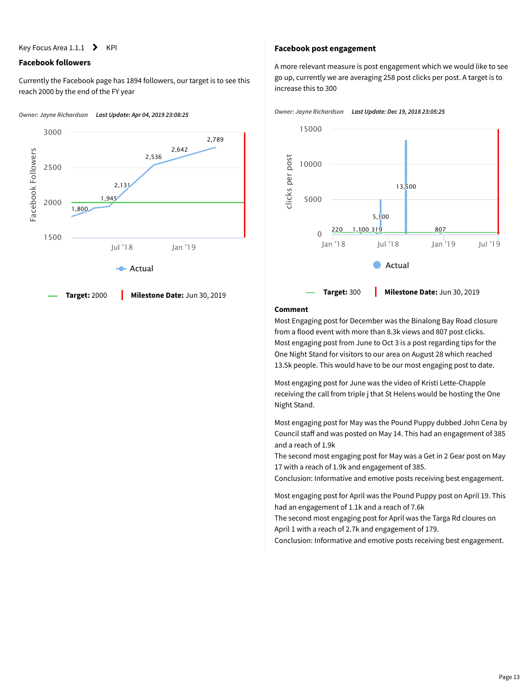Key Focus Area  $1.1.1$  > KPI

### **Facebook followers**

Currently the Facebook page has 1894 followers, our target is to see this reach 2000 by the end of the FY year





#### **Facebook post engagement**

A more relevant measure is post engagement which we would like to see go up, currently we are averaging 258 post clicks per post. A target is to increase this to 300





# **Comment**

Most Engaging post for December was the Binalong Bay Road closure from a flood event with more than 8.3k views and 807 post clicks. Most engaging post from June to Oct 3 is a post regarding tips for the One Night Stand for visitors to our area on August 28 which reached 13.5k people. This would have to be our most engaging post to date.

Most engaging post for June was the video of Kristi Lette-Chapple receiving the call from triple j that St Helens would be hosting the One Night Stand.

Most engaging post for May was the Pound Puppy dubbed John Cena by Council staff and was posted on May 14. This had an engagement of 385 and a reach of 1.9k

The second most engaging post for May was a Get in 2 Gear post on May 17 with a reach of 1.9k and engagement of 385.

Conclusion: Informative and emotive posts receiving best engagement.

Most engaging post for April was the Pound Puppy post on April 19. This had an engagement of 1.1k and a reach of 7.6k

The second most engaging post for April was the Targa Rd cloures on April 1 with a reach of 2.7k and engagement of 179.

Conclusion: Informative and emotive posts receiving best engagement.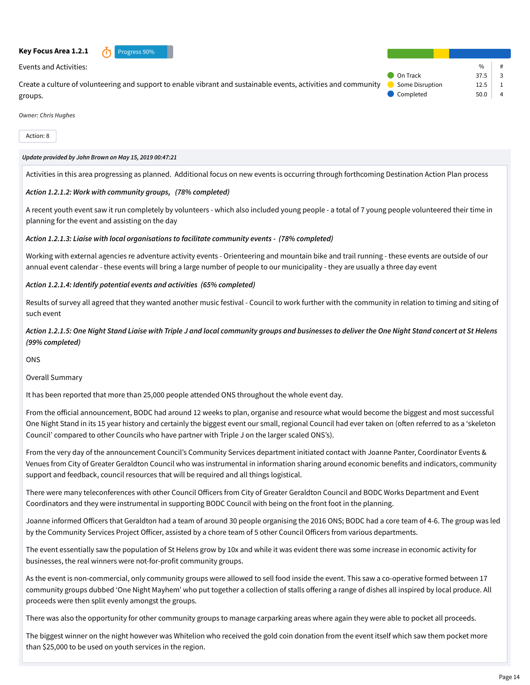#### **Key Focus Area 1.2.1** *n* Progress 90%



Events and Activities:

Create a culture of volunteering and support to enable vibrant and sustainable events, activities and community groups.

 $\frac{9}{0}$ On Track  $37.5$  3 Some Disruption 12.5 1 Completed 50.0 4

*Owner: Chris Hughes*

Action: 8

#### *Update provided by John Brown on May 15, 2019 00:47:21*

Activities in this area progressing as planned. Additional focus on new events is occurring through forthcoming Destination Action Plan process

#### *Action 1.2.1.2: Work with community groups, (78% completed)*

A recent youth event saw it run completely by volunteers - which also included young people - a total of 7 young people volunteered their time in planning for the event and assisting on the day

#### *Action 1.2.1.3: Liaise with local organisations to facilitate community events - (78% completed)*

Working with external agencies re adventure activity events - Orienteering and mountain bike and trail running - these events are outside of our annual event calendar - these events will bring a large number of people to our municipality - they are usually a three day event

#### *Action 1.2.1.4: Identify potential events and activities (65% completed)*

Results of survey all agreed that they wanted another music festival - Council to work further with the community in relation to timing and siting of such event

# *Action 1.2.1.5: One Night Stand Liaise with Triple J and local community groups and businesses to deliver the One Night Stand concert at St Helens (99% completed)*

**ONS** 

Overall Summary

It has been reported that more than 25,000 people attended ONS throughout the whole event day.

From the official announcement, BODC had around 12 weeks to plan, organise and resource what would become the biggest and most successful One Night Stand in its 15 year history and certainly the biggest event our small, regional Council had ever taken on (often referred to as a 'skeleton Council' compared to other Councils who have partner with Triple J on the larger scaled ONS's).

From the very day of the announcement Council's Community Services department initiated contact with Joanne Panter, Coordinator Events & Venues from City of Greater Geraldton Council who was instrumental in information sharing around economic benefits and indicators, community support and feedback, council resources that will be required and all things logistical.

There were many teleconferences with other Council Officers from City of Greater Geraldton Council and BODC Works Department and Event Coordinators and they were instrumental in supporting BODC Council with being on the front foot in the planning.

Joanne informed Officers that Geraldton had a team of around 30 people organising the 2016 ONS; BODC had a core team of 4-6. The group was led by the Community Services Project Officer, assisted by a chore team of 5 other Council Officers from various departments.

The event essentially saw the population of St Helens grow by 10x and while it was evident there was some increase in economic activity for businesses, the real winners were not-for-profit community groups.

As the event is non-commercial, only community groups were allowed to sell food inside the event. This saw a co-operative formed between 17 community groups dubbed 'One Night Mayhem' who put together a collection of stalls offering a range of dishes all inspired by local produce. All proceeds were then split evenly amongst the groups.

There was also the opportunity for other community groups to manage carparking areas where again they were able to pocket all proceeds.

The biggest winner on the night however was Whitelion who received the gold coin donation from the event itself which saw them pocket more than \$25,000 to be used on youth services in the region.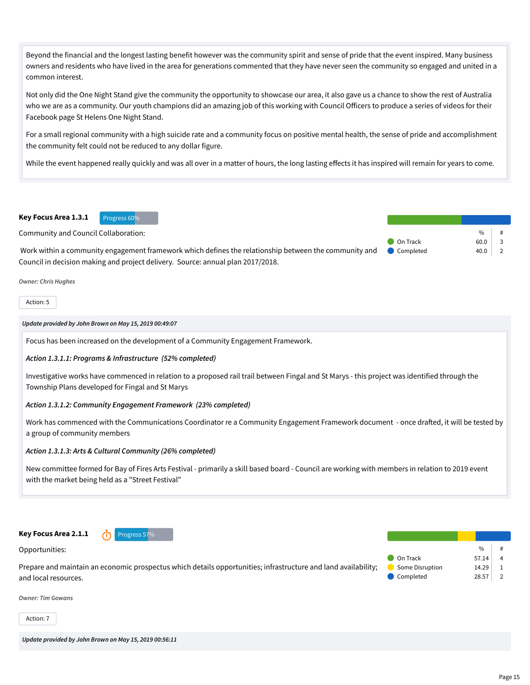Beyond the financial and the longest lasting benefit however was the community spirit and sense of pride that the event inspired. Many business owners and residents who have lived in the area for generations commented that they have never seen the community so engaged and united in a common interest.

Not only did the One Night Stand give the community the opportunity to showcase our area, it also gave us a chance to show the rest of Australia who we are as a community. Our youth champions did an amazing job of this working with Council Officers to produce a series of videos for their Facebook page St Helens One Night Stand.

For a small regional community with a high suicide rate and a community focus on positive mental health, the sense of pride and accomplishment the community felt could not be reduced to any dollar figure.

While the event happened really quickly and was all over in a matter of hours, the long lasting effects it has inspired will remain for years to come.

#### Key Focus Area 1.3.1 Progress 60%

Community and Council Collaboration:

Work within a community engagement framework which defines the relationship between the community and Council in decision making and project delivery. Source: annual plan 2017/2018. Completed 40.0 2

*Owner: Chris Hughes*

Action: 5

*Update provided by John Brown on May 15, 2019 00:49:07*

Focus has been increased on the development of a Community Engagement Framework.

#### *Action 1.3.1.1: Programs & Infrastructure (52% completed)*

Investigative works have commenced in relation to a proposed rail trail between Fingal and St Marys - this project was identified through the Township Plans developed for Fingal and St Marys

#### *Action 1.3.1.2: Community Engagement Framework (23% completed)*

Work has commenced with the Communications Coordinator re a Community Engagement Framework document - once drafted, it will be tested by a group of community members

#### *Action 1.3.1.3: Arts & Cultural Community (26% completed)*

New committee formed for Bay of Fires Arts Festival - primarily a skill based board - Council are working with members in relation to 2019 event with the market being held as a "Street Festival"



Action: 7

*Update provided by John Brown on May 15, 2019 00:56:11*

 $\frac{0}{n}$ 

On Track 60.0 3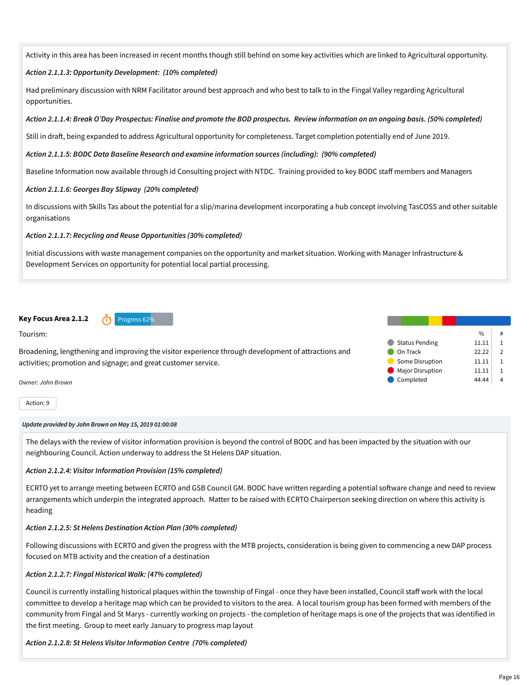Activity in this area has been increased in recent months though still behind on some key activities which are linked to Agricultural opportunity.

### *Action 2.1.1.3: Opportunity Development: (10% completed)*

Had preliminary discussion with NRM Facilitator around best approach and who best to talk to in the Fingal Valley regarding Agricultural opportunities.

#### *Action 2.1.1.4: Break O'Day Prospectus: Finalise and promote the BOD prospectus. Review information on an ongoing basis. (50% completed)*

Still in draft, being expanded to address Agricultural opportunity for completeness. Target completion potentially end of June 2019.

#### *Action 2.1.1.5: BODC Data Baseline Research and examine information sources (including): (90% completed)*

Baseline Information now available through id Consulting project with NTDC. Training provided to key BODC staff members and Managers

#### *Action 2.1.1.6: Georges Bay Slipway (20% completed)*

In discussions with Skills Tas about the potential for a slip/marina development incorporating a hub concept involving TasCOSS and other suitable organisations

*Action 2.1.1.7: Recycling and Reuse Opportunities (30% completed)*

Initial discussions with waste management companies on the opportunity and market situation. Working with Manager Infrastructure & Development Services on opportunity for potential local partial processing.

# **Key Focus Area 2.1.2 Constrained Area 1.1.2 Progress 62%**

Tourism:

Broadening, lengthening and improving the visitor experience through development of attractions and activities; promotion and signage; and great customer service.

*Owner: John Brown*

Action: 9

#### *Update provided by John Brown on May 15, 2019 01:00:08*

The delays with the review of visitor information provision is beyond the control of BODC and has been impacted by the situation with our neighbouring Council. Action underway to address the St Helens DAP situation.

#### *Action 2.1.2.4: Visitor Information Provision (15% completed)*

ECRTO yet to arrange meeting between ECRTO and GSB Council GM. BODC have written regarding a potential software change and need to review arrangements which underpin the integrated approach. Matter to be raised with ECRTO Chairperson seeking direction on where this activity is heading

#### *Action 2.1.2.5: St Helens Destination Action Plan (30% completed)*

Following discussions with ECRTO and given the progress with the MTB projects, consideration is being given to commencing a new DAP process focused on MTB activity and the creation of a destination

#### *Action 2.1.2.7: Fingal Historical Walk: (47% completed)*

Council is currently installing historical plaques within the township of Fingal - once they have been installed, Council staff work with the local committee to develop a heritage map which can be provided to visitors to the area. A local tourism group has been formed with members of the community from Fingal and St Marys - currently working on projects - the completion of heritage maps is one of the projects that was identified in the first meeting. Group to meet early January to progress map layout

#### *Action 2.1.2.8: St Helens Visitor Information Centre (70% completed)*

|                         | $\%$  | #             |
|-------------------------|-------|---------------|
| <b>Status Pending</b>   | 11.11 |               |
| On Track                | 22.22 | $\mathcal{P}$ |
| Some Disruption         | 11.11 |               |
| <b>Major Disruption</b> | 11.11 |               |
| Completed               | 44 44 |               |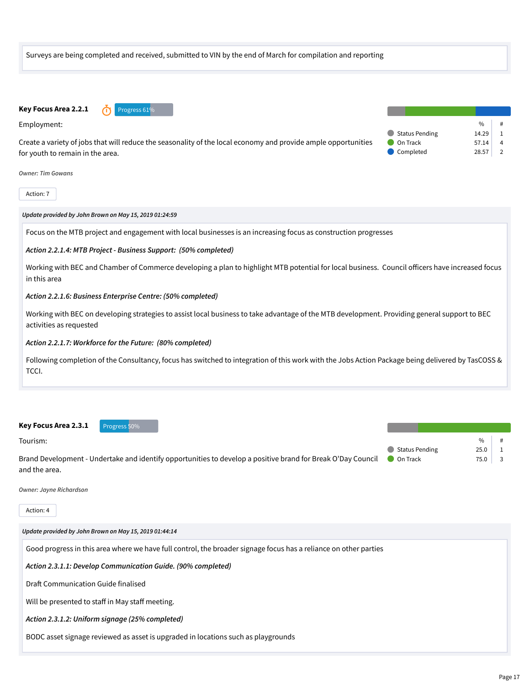

| Key Focus Area 2.3.1 | Progress 50%                                                                                                 |                |      |  |
|----------------------|--------------------------------------------------------------------------------------------------------------|----------------|------|--|
| Tourism:             |                                                                                                              |                | $\%$ |  |
|                      |                                                                                                              | Status Pending | 25.0 |  |
|                      | Brand Development - Undertake and identify opportunities to develop a positive brand for Break O'Day Council | On Track       | 75.0 |  |
| and the area.        |                                                                                                              |                |      |  |

*Owner: Jayne Richardson*

Action: 4

*Update provided by John Brown on May 15, 2019 01:44:14*

Good progress in this area where we have full control, the broader signage focus has a reliance on other parties

*Action 2.3.1.1: Develop Communication Guide. (90% completed)*

Draft Communication Guide finalised

Will be presented to staff in May staff meeting.

*Action 2.3.1.2: Uniform signage (25% completed)*

BODC asset signage reviewed as asset is upgraded in locations such as playgrounds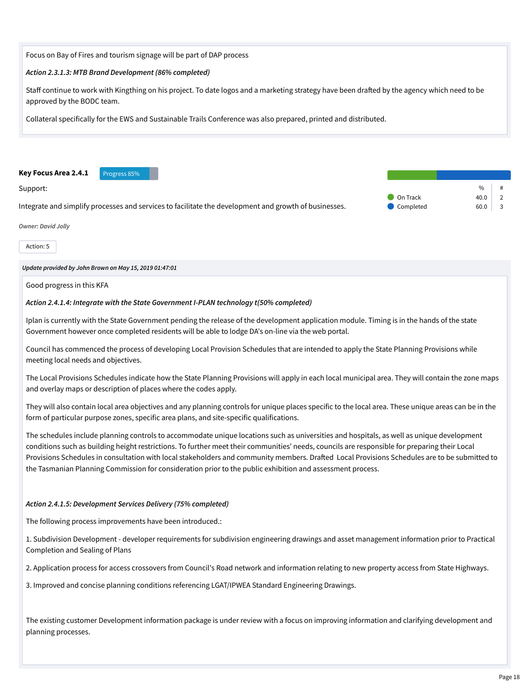Focus on Bay of Fires and tourism signage will be part of DAP process

#### *Action 2.3.1.3: MTB Brand Development (86% completed)*

Staff continue to work with Kingthing on his project. To date logos and a marketing strategy have been drafted by the agency which need to be approved by the BODC team.

Collateral specifically for the EWS and Sustainable Trails Conference was also prepared, printed and distributed.



#### Support:

Integrate and simplify processes and services to facilitate the development and growth of businesses.



#### *Owner: David Jolly*

Action: 5

*Update provided by John Brown on May 15, 2019 01:47:01*

Good progress in this KFA

#### *Action 2.4.1.4: Integrate with the State Government I-PLAN technology t(50% completed)*

Iplan is currently with the State Government pending the release of the development application module. Timing is in the hands of the state Government however once completed residents will be able to lodge DA's on-line via the web portal.

Council has commenced the process of developing Local Provision Schedules that are intended to apply the State Planning Provisions while meeting local needs and objectives.

The Local Provisions Schedules indicate how the State Planning Provisions will apply in each local municipal area. They will contain the zone maps and overlay maps or description of places where the codes apply.

They will also contain local area objectives and any planning controls for unique places specific to the local area. These unique areas can be in the form of particular purpose zones, specific area plans, and site-specific qualifications.

The schedules include planning controls to accommodate unique locations such as universities and hospitals, as well as unique development conditions such as building height restrictions. To further meet their communities' needs, councils are responsible for preparing their Local Provisions Schedules in consultation with local stakeholders and community members. Drafted Local Provisions Schedules are to be submitted to the Tasmanian Planning Commission for consideration prior to the public exhibition and assessment process.

#### *Action 2.4.1.5: Development Services Delivery (75% completed)*

The following process improvements have been introduced.:

1. Subdivision Development - developer requirements for subdivision engineering drawings and asset management information prior to Practical Completion and Sealing of Plans

2. Application process for access crossovers from Council's Road network and information relating to new property access from State Highways.

3. Improved and concise planning conditions referencing LGAT/IPWEA Standard Engineering Drawings.

The existing customer Development information package is under review with a focus on improving information and clarifying development and planning processes.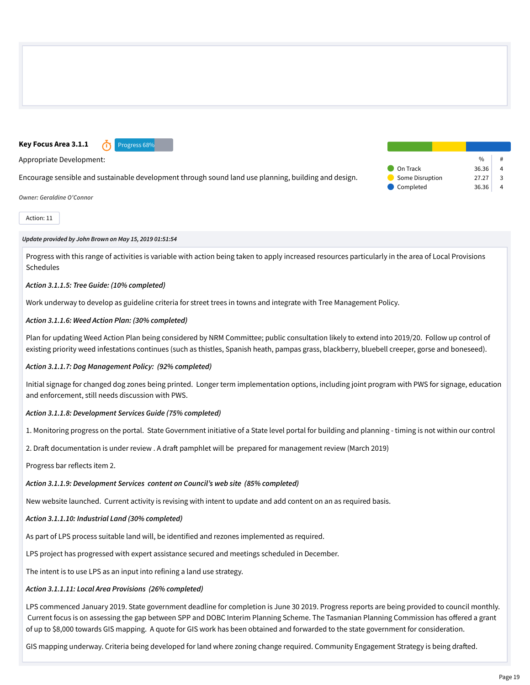# **Key Focus Area 3.1.1 n** Progress 68%

Appropriate Development:

Encourage sensible and sustainable development through sound land use planning, building and design.

*Owner: Geraldine O'Connor*

Action: 11

#### *Update provided by John Brown on May 15, 2019 01:51:54*

Progress with this range of activities is variable with action being taken to apply increased resources particularly in the area of Local Provisions Schedules

### *Action 3.1.1.5: Tree Guide: (10% completed)*

Work underway to develop as guideline criteria for street trees in towns and integrate with Tree Management Policy.

### *Action 3.1.1.6: Weed Action Plan: (30% completed)*

Plan for updating Weed Action Plan being considered by NRM Committee; public consultation likely to extend into 2019/20. Follow up control of existing priority weed infestations continues (such as thistles, Spanish heath, pampas grass, blackberry, bluebell creeper, gorse and boneseed).

#### *Action 3.1.1.7: Dog Management Policy: (92% completed)*

Initial signage for changed dog zones being printed. Longer term implementation options, including joint program with PWS for signage, education and enforcement, still needs discussion with PWS.

#### *Action 3.1.1.8: Development Services Guide (75% completed)*

1. Monitoring progress on the portal. State Government initiative of a State level portal for building and planning - timing is not within our control

2. Draft documentation is under review . A draft pamphlet will be prepared for management review (March 2019)

Progress bar reflects item 2.

# *Action 3.1.1.9: Development Services content on Council's web site (85% completed)*

New website launched. Current activity is revising with intent to update and add content on an as required basis.

# *Action 3.1.1.10: Industrial Land (30% completed)*

As part of LPS process suitable land will, be identified and rezones implemented as required.

LPS project has progressed with expert assistance secured and meetings scheduled in December.

The intent is to use LPS as an input into refining a land use strategy.

# *Action 3.1.1.11: Local Area Provisions (26% completed)*

LPS commenced January 2019. State government deadline for completion is June 30 2019. Progress reports are being provided to council monthly. Current focus is on assessing the gap between SPP and DOBC Interim Planning Scheme. The Tasmanian Planning Commission has offered a grant of up to \$8,000 towards GIS mapping. A quote for GIS work has been obtained and forwarded to the state government for consideration.

GIS mapping underway. Criteria being developed for land where zoning change required. Community Engagement Strategy is being drafted.

|                 | $\frac{0}{n}$ | # |
|-----------------|---------------|---|
| On Track        | 36.36         |   |
| Some Disruption | 27.27         | ર |
| Completed       | 36.36         |   |
|                 |               |   |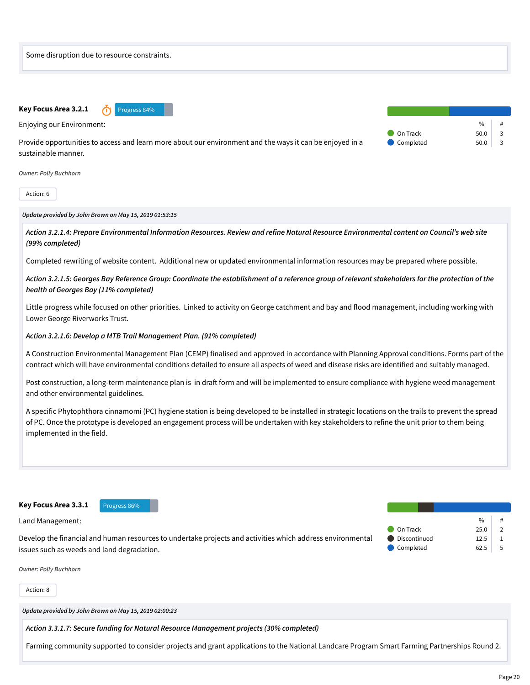

Action: 6

#### *Update provided by John Brown on May 15, 2019 01:53:15*

*Action 3.2.1.4: Prepare Environmental Information Resources. Review and refine Natural Resource Environmental content on Council's web site (99% completed)*

Completed rewriting of website content. Additional new or updated environmental information resources may be prepared where possible.

*Action 3.2.1.5: Georges Bay Reference Group: Coordinate the establishment of a reference group of relevant stakeholders for the protection of the health of Georges Bay (11% completed)*

Little progress while focused on other priorities. Linked to activity on George catchment and bay and flood management, including working with Lower George Riverworks Trust.

#### *Action 3.2.1.6: Develop a MTB Trail Management Plan. (91% completed)*

A Construction Environmental Management Plan (CEMP) finalised and approved in accordance with Planning Approval conditions. Forms part of the contract which will have environmental conditions detailed to ensure all aspects of weed and disease risks are identified and suitably managed.

Post construction, a long-term maintenance plan is in draft form and will be implemented to ensure compliance with hygiene weed management and other environmental guidelines.

A specific Phytophthora cinnamomi (PC) hygiene station is being developed to be installed in strategic locations on the trails to prevent the spread of PC. Once the prototype is developed an engagement process will be undertaken with key stakeholders to refine the unit prior to them being implemented in the field.

Key Focus Area 3.3.1 Progress 86%

Land Management:

Develop the financial and human resources to undertake projects and activities which address environmental issues such as weeds and land degradation.

|              | $\frac{0}{n}$ | #             |
|--------------|---------------|---------------|
| On Track     | 25.0          | $\mathcal{P}$ |
| Discontinued | 12.5          |               |
| Completed    | 62.5          | 5             |

*Owner: Polly Buchhorn*

Action: 8

*Update provided by John Brown on May 15, 2019 02:00:23*

*Action 3.3.1.7: Secure funding for Natural Resource Management projects (30% completed)*

Farming community supported to consider projects and grant applications to the National Landcare Program Smart Farming Partnerships Round 2.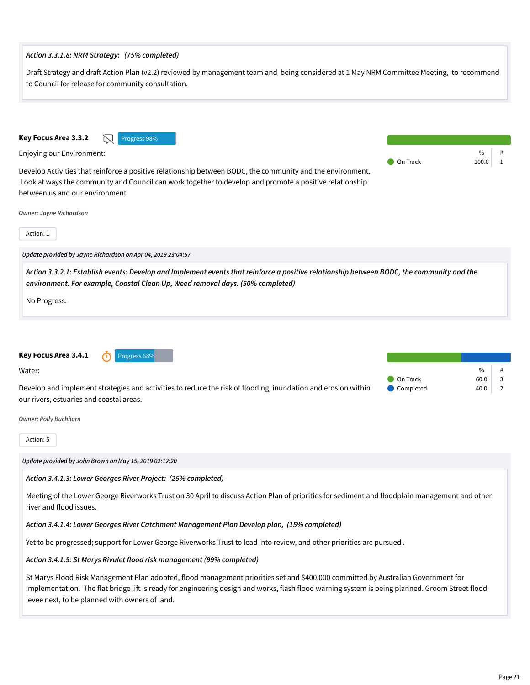| Draft Strategy and draft Action Plan (v2.2) reviewed by management team and being considered at 1 May NRM Committee Meeting, to recommend<br>to Council for release for community consultation.                                                                                                                                                                       |                                                                        |  |  |  |
|-----------------------------------------------------------------------------------------------------------------------------------------------------------------------------------------------------------------------------------------------------------------------------------------------------------------------------------------------------------------------|------------------------------------------------------------------------|--|--|--|
| Key Focus Area 3.3.2<br>Progress 98%<br>Enjoying our Environment:<br>Develop Activities that reinforce a positive relationship between BODC, the community and the environment.<br>Look at ways the community and Council can work together to develop and promote a positive relationship<br>between us and our environment.<br>Owner: Jayne Richardson<br>Action: 1 | $\%$<br>On Track<br>1<br>100.0                                         |  |  |  |
| Update provided by Jayne Richardson on Apr 04, 2019 23:04:57                                                                                                                                                                                                                                                                                                          |                                                                        |  |  |  |
| Action 3.3.2.1: Establish events: Develop and Implement events that reinforce a positive relationship between BODC, the community and the<br>environment. For example, Coastal Clean Up, Weed removal days. (50% completed)<br>No Progress.                                                                                                                           |                                                                        |  |  |  |
|                                                                                                                                                                                                                                                                                                                                                                       |                                                                        |  |  |  |
| Key Focus Area 3.4.1<br>Progress 68%<br>Water:<br>Develop and implement strategies and activities to reduce the risk of flooding, inundation and erosion within<br>our rivers, estuaries and coastal areas.                                                                                                                                                           | %<br>#<br>On Track<br>3<br>60.0<br>Completed<br>$\overline{2}$<br>40.0 |  |  |  |
| <b>Owner: Polly Buchhorn</b>                                                                                                                                                                                                                                                                                                                                          |                                                                        |  |  |  |
| Action: 5                                                                                                                                                                                                                                                                                                                                                             |                                                                        |  |  |  |
| Update provided by John Brown on May 15, 2019 02:12:20                                                                                                                                                                                                                                                                                                                |                                                                        |  |  |  |
| Action 3.4.1.3: Lower Georges River Project: (25% completed)                                                                                                                                                                                                                                                                                                          |                                                                        |  |  |  |
| Meeting of the Lower George Riverworks Trust on 30 April to discuss Action Plan of priorities for sediment and floodplain management and other<br>river and flood issues.                                                                                                                                                                                             |                                                                        |  |  |  |
| Action 3.4.1.4: Lower Georges River Catchment Management Plan Develop plan, (15% completed)                                                                                                                                                                                                                                                                           |                                                                        |  |  |  |
| Yet to be progressed; support for Lower George Riverworks Trust to lead into review, and other priorities are pursued.                                                                                                                                                                                                                                                |                                                                        |  |  |  |
| Action 3.4.1.5: St Marys Rivulet flood risk management (99% completed)                                                                                                                                                                                                                                                                                                |                                                                        |  |  |  |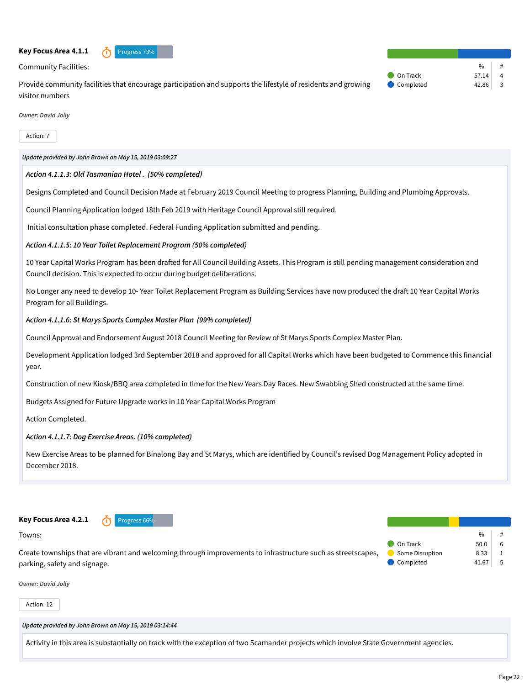#### **Key Focus Area 4.1.1** *n* Progress 73%



Community Facilities:

Provide community facilities that encourage participation and supports the lifestyle of residents and growing visitor numbers

| $\frac{0}{0}$ | #                       |
|---------------|-------------------------|
| 57.14         |                         |
| 42.86         | $\overline{\mathbf{3}}$ |
|               |                         |

*Owner: David Jolly*

Action: 7

*Update provided by John Brown on May 15, 2019 03:09:27*

#### *Action 4.1.1.3: Old Tasmanian Hotel . (50% completed)*

Designs Completed and Council Decision Made at February 2019 Council Meeting to progress Planning, Building and Plumbing Approvals.

Council Planning Application lodged 18th Feb 2019 with Heritage Council Approval still required.

Initial consultation phase completed. Federal Funding Application submitted and pending.

#### *Action 4.1.1.5: 10 Year Toilet Replacement Program (50% completed)*

10 Year Capital Works Program has been drafted for All Council Building Assets. This Program is still pending management consideration and Council decision. This is expected to occur during budget deliberations.

No Longer any need to develop 10- Year Toilet Replacement Program as Building Services have now produced the draft 10 Year Capital Works Program for all Buildings.

#### *Action 4.1.1.6: St Marys Sports Complex Master Plan (99% completed)*

Council Approval and Endorsement August 2018 Council Meeting for Review of St Marys Sports Complex Master Plan.

Development Application lodged 3rd September 2018 and approved for all Capital Works which have been budgeted to Commence this financial year.

Construction of new Kiosk/BBQ area completed in time for the New Years Day Races. New Swabbing Shed constructed at the same time.

Budgets Assigned for Future Upgrade works in 10 Year Capital Works Program

Action Completed.

# *Action 4.1.1.7: Dog Exercise Areas. (10% completed)*

New Exercise Areas to be planned for Binalong Bay and St Marys, which are identified by Council's revised Dog Management Policy adopted in December 2018.



Towns:

Create townships that are vibrant and welcoming through improvements to infrastructure such as streetscapes, parking, safety and signage.

|                        | $\frac{0}{0}$ | # |
|------------------------|---------------|---|
| On Track               | 50.0          | 6 |
| <b>Some Disruption</b> | 8.33          | 1 |
| Completed              | 41.67         | 5 |
|                        |               |   |

*Owner: David Jolly*

Action: 12

*Update provided by John Brown on May 15, 2019 03:14:44*

Activity in this area is substantially on track with the exception of two Scamander projects which involve State Government agencies.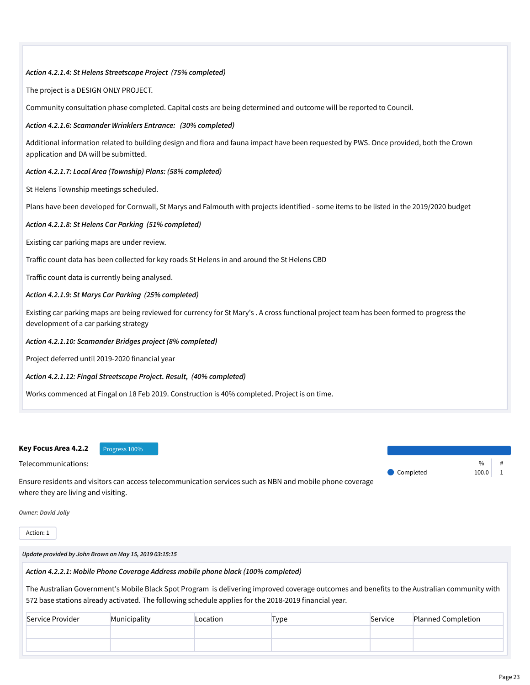#### *Action 4.2.1.4: St Helens Streetscape Project (75% completed)*

The project is a DESIGN ONLY PROJECT.

Community consultation phase completed. Capital costs are being determined and outcome will be reported to Council.

#### *Action 4.2.1.6: Scamander Wrinklers Entrance: (30% completed)*

Additional information related to building design and flora and fauna impact have been requested by PWS. Once provided, both the Crown application and DA will be submitted.

### *Action 4.2.1.7: Local Area (Township) Plans: (58% completed)*

St Helens Township meetings scheduled.

Plans have been developed for Cornwall, St Marys and Falmouth with projects identified - some items to be listed in the 2019/2020 budget

### *Action 4.2.1.8: St Helens Car Parking (51% completed)*

Existing car parking maps are under review.

Traffic count data has been collected for key roads St Helens in and around the St Helens CBD

Traffic count data is currently being analysed.

### *Action 4.2.1.9: St Marys Car Parking (25% completed)*

Existing car parking maps are being reviewed for currency for St Mary's . A cross functional project team has been formed to progress the development of a car parking strategy

#### *Action 4.2.1.10: Scamander Bridges project (8% completed)*

Project deferred until 2019-2020 financial year

#### *Action 4.2.1.12: Fingal Streetscape Project. Result, (40% completed)*

Works commenced at Fingal on 18 Feb 2019. Construction is 40% completed. Project is on time.

#### **Key Focus Area 4.2.2** Progress 100%

Telecommunications:

Ensure residents and visitors can access telecommunication services such as NBN and mobile phone coverage where they are living and visiting.

*Owner: David Jolly*

Action: 1

*Update provided by John Brown on May 15, 2019 03:15:15*

*Action 4.2.2.1: Mobile Phone Coverage Address mobile phone black (100% completed)*

The Australian Government's Mobile Black Spot Program is delivering improved coverage outcomes and benefits to the Australian community with 572 base stations already activated. The following schedule applies for the 2018-2019 financial year.

| Service Provider | Municipality | Location | Type | Service | <b>Planned Completion</b> |
|------------------|--------------|----------|------|---------|---------------------------|
|                  |              |          |      |         |                           |
|                  |              |          |      |         |                           |
|                  |              |          |      |         |                           |

 $\frac{0}{0}$ 

Completed 100.0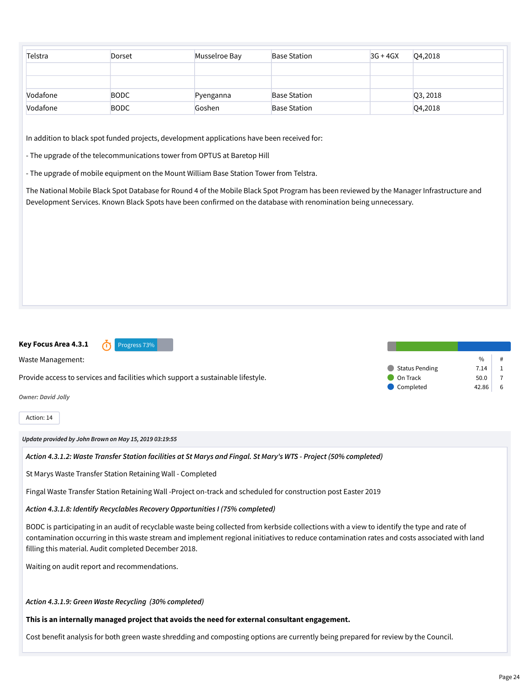| Telstra  | <b>Dorset</b> | Musselroe Bay | <b>Base Station</b> | $3G + 4GX$ | Q4,2018  |
|----------|---------------|---------------|---------------------|------------|----------|
|          |               |               |                     |            |          |
|          |               |               |                     |            |          |
| Vodafone | <b>BODC</b>   | Pyenganna     | <b>Base Station</b> |            | Q3, 2018 |
| Vodafone | <b>BODC</b>   | Goshen        | <b>Base Station</b> |            | Q4,2018  |

In addition to black spot funded projects, development applications have been received for:

- The upgrade of the telecommunications tower from OPTUS at Baretop Hill

- The upgrade of mobile equipment on the Mount William Base Station Tower from Telstra.

The National Mobile Black Spot Database for Round 4 of the Mobile Black Spot Program has been reviewed by the Manager Infrastructure and Development Services. Known Black Spots have been confirmed on the database with renomination being unnecessary.

**Key Focus Area 4.3.1** Progress 73%

Waste Management:

Provide access to services and facilities which support a sustainable lifestyle.

*Owner: David Jolly*

Action: 14

*Update provided by John Brown on May 15, 2019 03:19:55*

*Action 4.3.1.2: Waste Transfer Station facilities at St Marys and Fingal. St Mary's WTS - Project (50% completed)*

St Marys Waste Transfer Station Retaining Wall - Completed

Fingal Waste Transfer Station Retaining Wall -Project on-track and scheduled for construction post Easter 2019

*Action 4.3.1.8: Identify Recyclables Recovery Opportunities I (75% completed)*

BODC is participating in an audit of recyclable waste being collected from kerbside collections with a view to identify the type and rate of contamination occurring in this waste stream and implement regional initiatives to reduce contamination rates and costs associated with land filling this material. Audit completed December 2018.

Waiting on audit report and recommendations.

*Action 4.3.1.9: Green Waste Recycling (30% completed)*

**This is an internally managed project that avoids the need for external consultant engagement.**

Cost benefit analysis for both green waste shredding and composting options are currently being prepared for review by the Council.

|                | 0/6   | # |
|----------------|-------|---|
| Status Pending | 7.14  |   |
| On Track       | 50.0  |   |
| Completed      | 42.86 |   |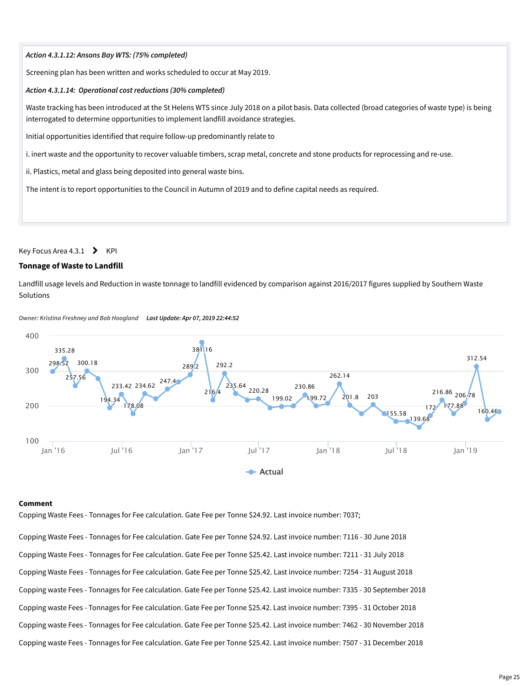#### *Action 4.3.1.12: Ansons Bay WTS: (75% completed)*

Screening plan has been written and works scheduled to occur at May 2019.

#### *Action 4.3.1.14: Operational cost reductions (30% completed)*

Waste tracking has been introduced at the St Helens WTS since July 2018 on a pilot basis. Data collected (broad categories of waste type) is being interrogated to determine opportunities to implement landfill avoidance strategies.

Initial opportunities identified that require follow-up predominantly relate to

i. inert waste and the opportunity to recover valuable timbers, scrap metal, concrete and stone products for reprocessing and re-use.

ii. Plastics, metal and glass being deposited into general waste bins.

The intent is to report opportunities to the Council in Autumn of 2019 and to define capital needs as required.

#### Key Focus Area 4.3.1  $\rightarrow$  KPI

#### **Tonnage of Waste to Landfill**

Landfill usage levels and Reduction in waste tonnage to landfill evidenced by comparison against 2016/2017 figures supplied by Southern Waste Solutions



*Owner: Kristina Freshney and Bob Hoogland Last Update: Apr 07, 2019 22:44:52*

#### **Comment**

Copping Waste Fees - Tonnages for Fee calculation. Gate Fee per Tonne \$24.92. Last invoice number: 7037;

Copping Waste Fees - Tonnages for Fee calculation. Gate Fee per Tonne \$24.92. Last invoice number: 7116 - 30 June 2018 Copping Waste Fees - Tonnages for Fee calculation. Gate Fee per Tonne \$25.42. Last invoice number: 7211 - 31 July 2018 Copping Waste Fees - Tonnages for Fee calculation. Gate Fee per Tonne \$25.42. Last invoice number: 7254 - 31 August 2018 Copping waste Fees - Tonnages for Fee calculation. Gate Fee per Tonne \$25.42. Last invoice number: 7335 - 30 September 2018 Copping waste Fees - Tonnages for Fee calculation. Gate Fee per Tonne \$25.42. Last invoice number: 7395 - 31 October 2018 Copping waste Fees - Tonnages for Fee calculation. Gate Fee per Tonne \$25.42. Last invoice number: 7462 - 30 November 2018 Copping waste Fees - Tonnages for Fee calculation. Gate Fee per Tonne \$25.42. Last invoice number: 7507 - 31 December 2018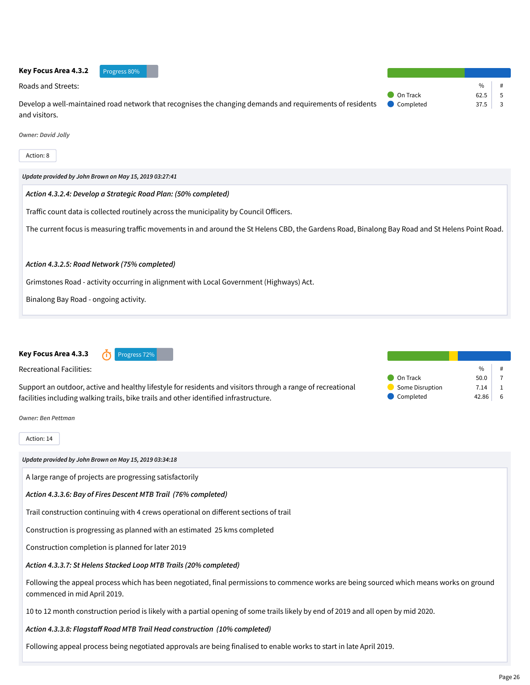

**Key Focus Area 4.3.3** 1 Progress 72%

Recreational Facilities:

Support an outdoor, active and healthy lifestyle for residents and visitors through a range of recreational facilities including walking trails, bike trails and other identified infrastructure.

|                 | $\frac{0}{n}$ | # |
|-----------------|---------------|---|
| On Track        | 50.0          |   |
| Some Disruption | 7.14          |   |
| Completed       | 42.86         | 6 |

*Owner: Ben Pettman*

#### Action: 14

*Update provided by John Brown on May 15, 2019 03:34:18*

A large range of projects are progressing satisfactorily

# *Action 4.3.3.6: Bay of Fires Descent MTB Trail (76% completed)*

Trail construction continuing with 4 crews operational on different sections of trail

Construction is progressing as planned with an estimated 25 kms completed

Construction completion is planned for later 2019

# *Action 4.3.3.7: St Helens Stacked Loop MTB Trails (20% completed)*

Following the appeal process which has been negotiated, final permissions to commence works are being sourced which means works on ground commenced in mid April 2019.

10 to 12 month construction period is likely with a partial opening of some trails likely by end of 2019 and all open by mid 2020.

# *Action 4.3.3.8: Flagstaff Road MTB Trail Head construction (10% completed)*

Following appeal process being negotiated approvals are being finalised to enable works to start in late April 2019.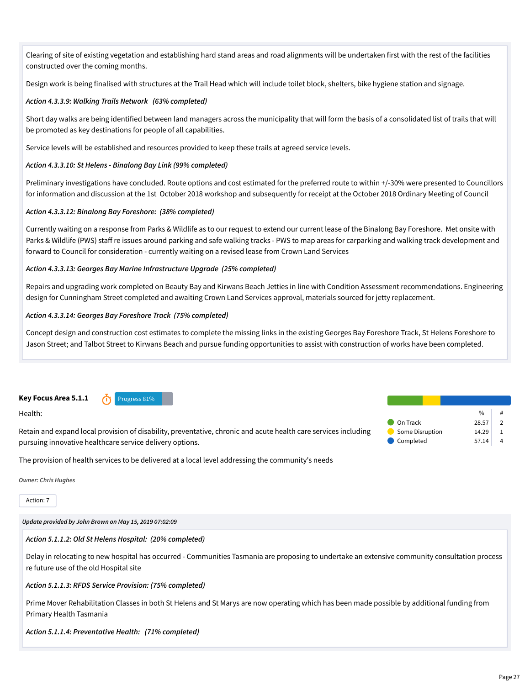Clearing of site of existing vegetation and establishing hard stand areas and road alignments will be undertaken first with the rest of the facilities constructed over the coming months.

Design work is being finalised with structures at the Trail Head which will include toilet block, shelters, bike hygiene station and signage.

### *Action 4.3.3.9: Walking Trails Network (63% completed)*

Short day walks are being identified between land managers across the municipality that will form the basis of a consolidated list of trails that will be promoted as key destinations for people of all capabilities.

Service levels will be established and resources provided to keep these trails at agreed service levels.

### *Action 4.3.3.10: St Helens - Binalong Bay Link (99% completed)*

Preliminary investigations have concluded. Route options and cost estimated for the preferred route to within +/-30% were presented to Councillors for information and discussion at the 1st October 2018 workshop and subsequently for receipt at the October 2018 Ordinary Meeting of Council

#### *Action 4.3.3.12: Binalong Bay Foreshore: (38% completed)*

Currently waiting on a response from Parks & Wildlife as to our request to extend our current lease of the Binalong Bay Foreshore. Met onsite with Parks & Wildlife (PWS) staff re issues around parking and safe walking tracks - PWS to map areas for carparking and walking track development and forward to Council for consideration - currently waiting on a revised lease from Crown Land Services

### *Action 4.3.3.13: Georges Bay Marine Infrastructure Upgrade (25% completed)*

Repairs and upgrading work completed on Beauty Bay and Kirwans Beach Jetties in line with Condition Assessment recommendations. Engineering design for Cunningham Street completed and awaiting Crown Land Services approval, materials sourced for jetty replacement.

#### *Action 4.3.3.14: Georges Bay Foreshore Track (75% completed)*

Concept design and construction cost estimates to complete the missing links in the existing Georges Bay Foreshore Track, St Helens Foreshore to Jason Street; and Talbot Street to Kirwans Beach and pursue funding opportunities to assist with construction of works have been completed.

**Key Focus Area 5.1.1** *O* Progress 81%

Health:

Retain and expand local provision of disability, preventative, chronic and acute health care services including pursuing innovative healthcare service delivery options.

 $\frac{9}{0}$ **On Track** 28.57 2  $\bullet$  Some Disruption 14.29 1  $\bullet$  Completed 57.14 4

The provision of health services to be delivered at a local level addressing the community's needs

*Owner: Chris Hughes*

Action: 7

*Update provided by John Brown on May 15, 2019 07:02:09*

#### *Action 5.1.1.2: Old St Helens Hospital: (20% completed)*

Delay in relocating to new hospital has occurred - Communities Tasmania are proposing to undertake an extensive community consultation process re future use of the old Hospital site

#### *Action 5.1.1.3: RFDS Service Provision: (75% completed)*

Prime Mover Rehabilitation Classes in both St Helens and St Marys are now operating which has been made possible by additional funding from Primary Health Tasmania

*Action 5.1.1.4: Preventative Health: (71% completed)*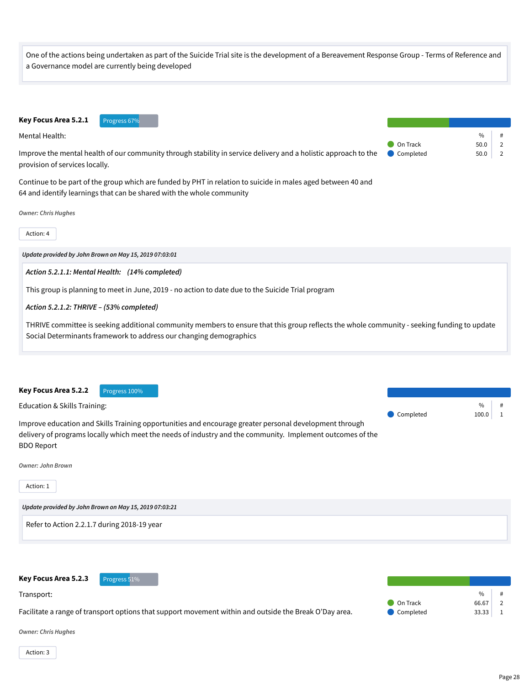One of the actions being undertaken as part of the Suicide Trial site is the development of a Bereavement Response Group - Terms of Reference and a Governance model are currently being developed

Key Focus Area 5.2.1 Progress 67%

provision of services locally.

Mental Health:

 $\frac{9}{6}$ On Track 50.0 2 Completed 50.0 2

Continue to be part of the group which are funded by PHT in relation to suicide in males aged between 40 and 64 and identify learnings that can be shared with the whole community

Improve the mental health of our community through stability in service delivery and a holistic approach to the

*Owner: Chris Hughes*

Action: 4

*Update provided by John Brown on May 15, 2019 07:03:01*

*Action 5.2.1.1: Mental Health: (14% completed)*

This group is planning to meet in June, 2019 - no action to date due to the Suicide Trial program

#### *Action 5.2.1.2: THRIVE – (53% completed)*

THRIVE committee is seeking additional community members to ensure that this group reflects the whole community - seeking funding to update Social Determinants framework to address our changing demographics

**Key Focus Area 5.2.2** Progress 100%

| Education & Skills Training:                                                                               |           | $\%$      |  |
|------------------------------------------------------------------------------------------------------------|-----------|-----------|--|
|                                                                                                            | Completed | $100.0$ 1 |  |
| Improve education and Skills Training opportunities and encourage greater personal development through     |           |           |  |
| delivery of programs locally which meet the needs of industry and the community. Implement outcomes of the |           |           |  |

*Owner: John Brown*

Action: 1

BDO Report

*Update provided by John Brown on May 15, 2019 07:03:21*

Refer to Action 2.2.1.7 during 2018-19 year

| Key Focus Area 5.2.3       | Progress 51%                                                                                           |                 |               |  |
|----------------------------|--------------------------------------------------------------------------------------------------------|-----------------|---------------|--|
| Transport:                 |                                                                                                        |                 | $\frac{0}{0}$ |  |
|                            |                                                                                                        | <b>On Track</b> | 66.67         |  |
|                            | Facilitate a range of transport options that support movement within and outside the Break O'Day area. | Completed       | 33.33         |  |
|                            |                                                                                                        |                 |               |  |
| <b>Owner: Chris Hughes</b> |                                                                                                        |                 |               |  |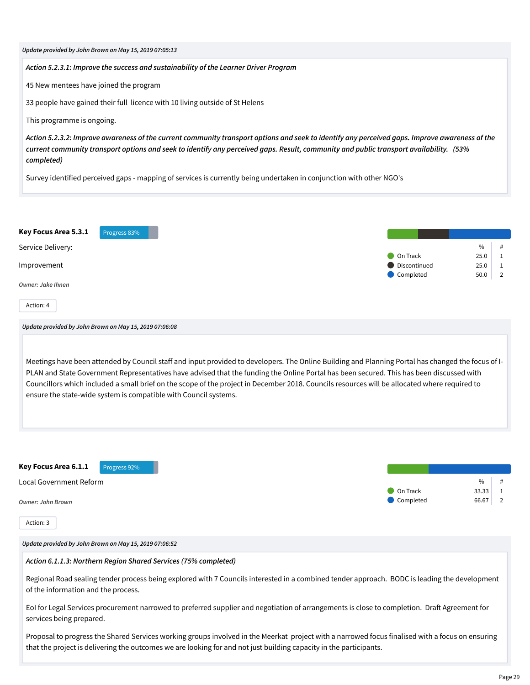| Update provided by John Brown on May 15, 2019 07:05:13                                                                                                                                                                                                                                                                                                                                                                                                                                                              |                           |                                     |
|---------------------------------------------------------------------------------------------------------------------------------------------------------------------------------------------------------------------------------------------------------------------------------------------------------------------------------------------------------------------------------------------------------------------------------------------------------------------------------------------------------------------|---------------------------|-------------------------------------|
| Action 5.2.3.1: Improve the success and sustainability of the Learner Driver Program                                                                                                                                                                                                                                                                                                                                                                                                                                |                           |                                     |
| 45 New mentees have joined the program                                                                                                                                                                                                                                                                                                                                                                                                                                                                              |                           |                                     |
| 33 people have gained their full licence with 10 living outside of St Helens                                                                                                                                                                                                                                                                                                                                                                                                                                        |                           |                                     |
| This programme is ongoing.                                                                                                                                                                                                                                                                                                                                                                                                                                                                                          |                           |                                     |
| Action 5.2.3.2: Improve awareness of the current community transport options and seek to identify any perceived gaps. Improve awareness of the<br>current community transport options and seek to identify any perceived gaps. Result, community and public transport availability. (53%<br>completed)                                                                                                                                                                                                              |                           |                                     |
| Survey identified perceived gaps - mapping of services is currently being undertaken in conjunction with other NGO's                                                                                                                                                                                                                                                                                                                                                                                                |                           |                                     |
|                                                                                                                                                                                                                                                                                                                                                                                                                                                                                                                     |                           |                                     |
| Key Focus Area 5.3.1<br>Progress 83%                                                                                                                                                                                                                                                                                                                                                                                                                                                                                |                           |                                     |
| Service Delivery:                                                                                                                                                                                                                                                                                                                                                                                                                                                                                                   | On Track                  | $\%$<br>#<br>25.0<br>1              |
| Improvement                                                                                                                                                                                                                                                                                                                                                                                                                                                                                                         | Discontinued<br>Completed | 25.0<br>1<br>50.0<br>$\overline{2}$ |
| <b>Owner: Jake Ihnen</b>                                                                                                                                                                                                                                                                                                                                                                                                                                                                                            |                           |                                     |
| Action: 4                                                                                                                                                                                                                                                                                                                                                                                                                                                                                                           |                           |                                     |
| Update provided by John Brown on May 15, 2019 07:06:08                                                                                                                                                                                                                                                                                                                                                                                                                                                              |                           |                                     |
| Meetings have been attended by Council staff and input provided to developers. The Online Building and Planning Portal has changed the focus of I-<br>PLAN and State Government Representatives have advised that the funding the Online Portal has been secured. This has been discussed with<br>Councillors which included a small brief on the scope of the project in December 2018. Councils resources will be allocated where required to<br>ensure the state-wide system is compatible with Council systems. |                           |                                     |
| Key Focus Area 6.1.1<br>Progress 92%                                                                                                                                                                                                                                                                                                                                                                                                                                                                                |                           |                                     |
| Local Government Reform                                                                                                                                                                                                                                                                                                                                                                                                                                                                                             | On Track                  | $\%$<br>33.33<br>1                  |
| <b>Owner: John Brown</b>                                                                                                                                                                                                                                                                                                                                                                                                                                                                                            | Completed                 | 66.67<br>2                          |
| Action: 3                                                                                                                                                                                                                                                                                                                                                                                                                                                                                                           |                           |                                     |
| Update provided by John Brown on May 15, 2019 07:06:52                                                                                                                                                                                                                                                                                                                                                                                                                                                              |                           |                                     |
| Action 6.1.1.3: Northern Region Shared Services (75% completed)                                                                                                                                                                                                                                                                                                                                                                                                                                                     |                           |                                     |
| Regional Road sealing tender process being explored with 7 Councils interested in a combined tender approach. BODC is leading the development<br>of the information and the process.                                                                                                                                                                                                                                                                                                                                |                           |                                     |
| EoI for Legal Services procurement narrowed to preferred supplier and negotiation of arrangements is close to completion. Draft Agreement for<br>services being prepared.                                                                                                                                                                                                                                                                                                                                           |                           |                                     |
| Proposal to progress the Shared Services working groups involved in the Meerkat project with a narrowed focus finalised with a focus on ensuring<br>that the project is delivering the outcomes we are looking for and not just building capacity in the participants.                                                                                                                                                                                                                                              |                           |                                     |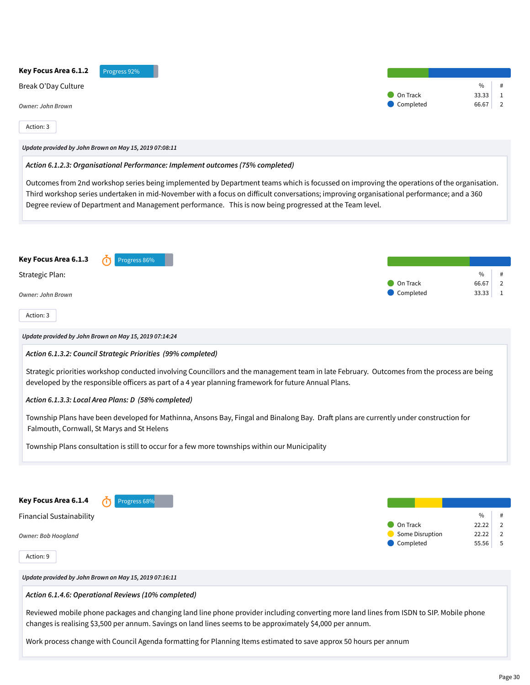| Key Focus Area 6.1.2<br>Progress 92%                                                                                                                                                                                                                                                                                                                                                               |                              |                |                     |
|----------------------------------------------------------------------------------------------------------------------------------------------------------------------------------------------------------------------------------------------------------------------------------------------------------------------------------------------------------------------------------------------------|------------------------------|----------------|---------------------|
| Break O'Day Culture                                                                                                                                                                                                                                                                                                                                                                                |                              | $\%$           | #                   |
| <b>Owner: John Brown</b>                                                                                                                                                                                                                                                                                                                                                                           | On Track<br>Completed        | 33.33<br>66.67 | 1<br>2              |
| Action: 3                                                                                                                                                                                                                                                                                                                                                                                          |                              |                |                     |
| Update provided by John Brown on May 15, 2019 07:08:11                                                                                                                                                                                                                                                                                                                                             |                              |                |                     |
| Action 6.1.2.3: Organisational Performance: Implement outcomes (75% completed)                                                                                                                                                                                                                                                                                                                     |                              |                |                     |
| Outcomes from 2nd workshop series being implemented by Department teams which is focussed on improving the operations of the organisation.<br>Third workshop series undertaken in mid-November with a focus on difficult conversations; improving organisational performance; and a 360<br>Degree review of Department and Management performance. This is now being progressed at the Team level. |                              |                |                     |
| Key Focus Area 6.1.3<br>Progress 86%                                                                                                                                                                                                                                                                                                                                                               |                              |                |                     |
| Strategic Plan:                                                                                                                                                                                                                                                                                                                                                                                    | On Track                     | $\%$<br>66.67  | #<br>2              |
| <b>Owner: John Brown</b>                                                                                                                                                                                                                                                                                                                                                                           | $\Box$ Completed             | 33.33          | $\mathbf{1}$        |
| Action: 3                                                                                                                                                                                                                                                                                                                                                                                          |                              |                |                     |
| Update provided by John Brown on May 15, 2019 07:14:24                                                                                                                                                                                                                                                                                                                                             |                              |                |                     |
| Action 6.1.3.2: Council Strategic Priorities (99% completed)                                                                                                                                                                                                                                                                                                                                       |                              |                |                     |
| Strategic priorities workshop conducted involving Councillors and the management team in late February. Outcomes from the process are being<br>developed by the responsible officers as part of a 4 year planning framework for future Annual Plans.                                                                                                                                               |                              |                |                     |
| Action 6.1.3.3: Local Area Plans: D (58% completed)                                                                                                                                                                                                                                                                                                                                                |                              |                |                     |
| Township Plans have been developed for Mathinna, Ansons Bay, Fingal and Binalong Bay. Draft plans are currently under construction for<br>Falmouth, Cornwall, St Marys and St Helens                                                                                                                                                                                                               |                              |                |                     |
| Township Plans consultation is still to occur for a few more townships within our Municipality                                                                                                                                                                                                                                                                                                     |                              |                |                     |
| Key Focus Area 6.1.4<br>Progress 68%<br><b>Financial Sustainability</b>                                                                                                                                                                                                                                                                                                                            | On Track                     | $\%$<br>22.22  | #<br>2              |
| <b>Owner: Bob Hoogland</b>                                                                                                                                                                                                                                                                                                                                                                         | Some Disruption<br>Completed | 22.22<br>55.56 | $\overline{2}$<br>5 |
| Action: 9                                                                                                                                                                                                                                                                                                                                                                                          |                              |                |                     |
| Update provided by John Brown on May 15, 2019 07:16:11                                                                                                                                                                                                                                                                                                                                             |                              |                |                     |
| Action 6.1.4.6: Operational Reviews (10% completed)                                                                                                                                                                                                                                                                                                                                                |                              |                |                     |
| Reviewed mobile phone packages and changing land line phone provider including converting more land lines from ISDN to SIP. Mobile phone<br>changes is realising \$3,500 per annum. Savings on land lines seems to be approximately \$4,000 per annum.                                                                                                                                             |                              |                |                     |
| Work process change with Council Agenda formatting for Planning Items estimated to save approx 50 hours per annum                                                                                                                                                                                                                                                                                  |                              |                |                     |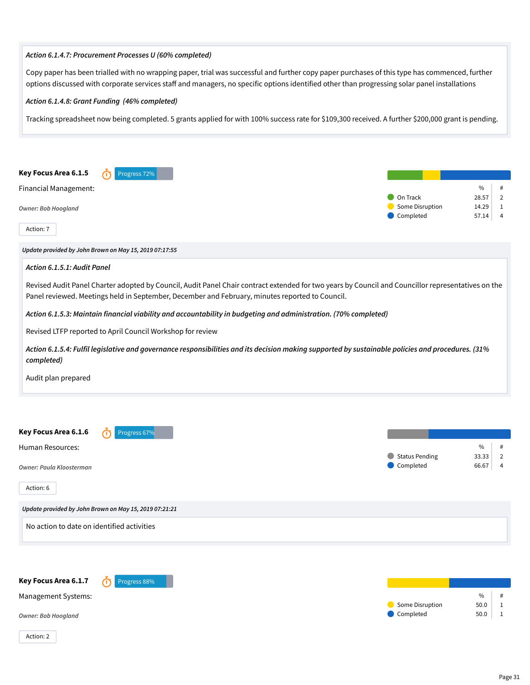#### *Action 6.1.4.7: Procurement Processes U (60% completed)*

Copy paper has been trialled with no wrapping paper, trial was successful and further copy paper purchases of this type has commenced, further options discussed with corporate services staff and managers, no specific options identified other than progressing solar panel installations

*Action 6.1.4.8: Grant Funding (46% completed)*

Tracking spreadsheet now being completed. 5 grants applied for with 100% success rate for \$109,300 received. A further \$200,000 grant is pending.



*Update provided by John Brown on May 15, 2019 07:17:55*

#### *Action 6.1.5.1: Audit Panel*

Revised Audit Panel Charter adopted by Council, Audit Panel Chair contract extended for two years by Council and Councillor representatives on the Panel reviewed. Meetings held in September, December and February, minutes reported to Council.

*Action 6.1.5.3: Maintain financial viability and accountability in budgeting and administration. (70% completed)*

Revised LTFP reported to April Council Workshop for review

*Action 6.1.5.4: Fulfil legislative and governance responsibilities and its decision making supported by sustainable policies and procedures. (31% completed)*

Audit plan prepared



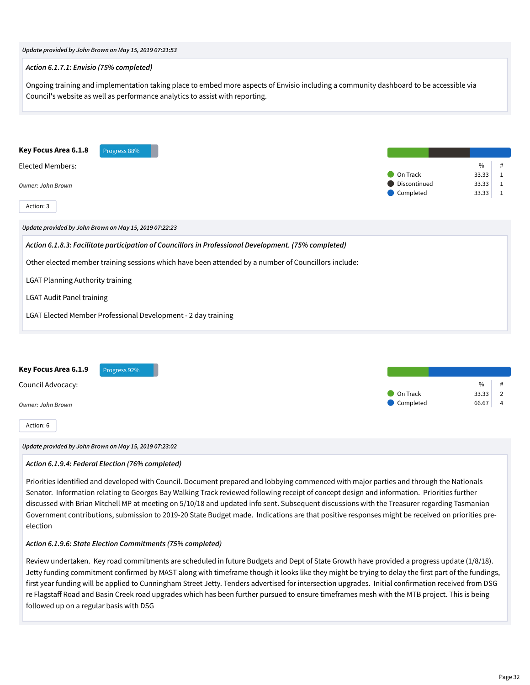| Update provided by John Brown on May 15, 2019 07:21:53                                                                                                                                                                 |                                       |                                                         |
|------------------------------------------------------------------------------------------------------------------------------------------------------------------------------------------------------------------------|---------------------------------------|---------------------------------------------------------|
| Action 6.1.7.1: Envisio (75% completed)                                                                                                                                                                                |                                       |                                                         |
| Ongoing training and implementation taking place to embed more aspects of Envisio including a community dashboard to be accessible via<br>Council's website as well as performance analytics to assist with reporting. |                                       |                                                         |
| Key Focus Area 6.1.8<br>Progress 88%<br><b>Elected Members:</b><br><b>Owner: John Brown</b><br>Action: 3                                                                                                               | On Track<br>Discontinued<br>Completed | $\frac{0}{0}$<br>33.33<br>1<br>33.33<br>1<br>33.33<br>1 |
| Update provided by John Brown on May 15, 2019 07:22:23                                                                                                                                                                 |                                       |                                                         |
| Action 6.1.8.3: Facilitate participation of Councillors in Professional Development. (75% completed)                                                                                                                   |                                       |                                                         |
| Other elected member training sessions which have been attended by a number of Councillors include:                                                                                                                    |                                       |                                                         |
| <b>LGAT Planning Authority training</b>                                                                                                                                                                                |                                       |                                                         |
| <b>LGAT Audit Panel training</b>                                                                                                                                                                                       |                                       |                                                         |
| LGAT Elected Member Professional Development - 2 day training                                                                                                                                                          |                                       |                                                         |
|                                                                                                                                                                                                                        |                                       |                                                         |
| Key Focus Area 6.1.9<br>Progress 92%<br>Council Advocacy                                                                                                                                                               |                                       | 0/6<br>$\pmb{\#}$                                       |

Council Advocacy:

*Owner: John Brown*

Action: 6

*Update provided by John Brown on May 15, 2019 07:23:02*

# *Action 6.1.9.4: Federal Election (76% completed)*

Priorities identified and developed with Council. Document prepared and lobbying commenced with major parties and through the Nationals Senator. Information relating to Georges Bay Walking Track reviewed following receipt of concept design and information. Priorities further discussed with Brian Mitchell MP at meeting on 5/10/18 and updated info sent. Subsequent discussions with the Treasurer regarding Tasmanian Government contributions, submission to 2019-20 State Budget made. Indications are that positive responses might be received on priorities preelection

#### *Action 6.1.9.6: State Election Commitments (75% completed)*

Review undertaken. Key road commitments are scheduled in future Budgets and Dept of State Growth have provided a progress update (1/8/18). Jetty funding commitment confirmed by MAST along with timeframe though it looks like they might be trying to delay the first part of the fundings, first year funding will be applied to Cunningham Street Jetty. Tenders advertised for intersection upgrades. Initial confirmation received from DSG re Flagstaff Road and Basin Creek road upgrades which has been further pursued to ensure timeframes mesh with the MTB project. This is being followed up on a regular basis with DSG

**On Track** 33.33 2 Completed 66.67 4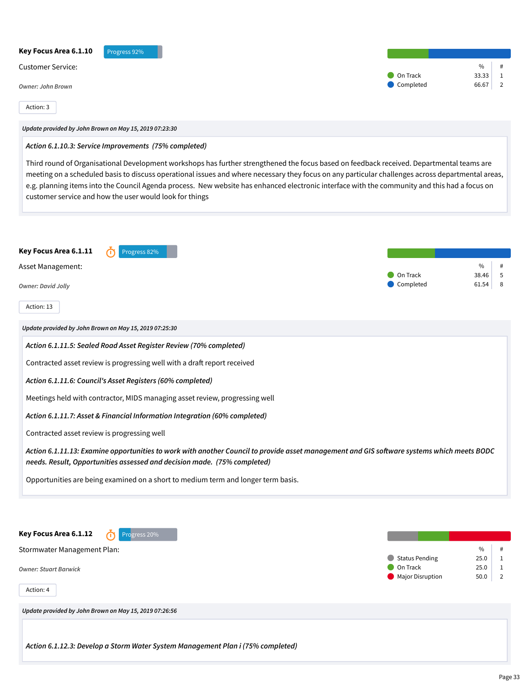| Key Focus Area 6.1.10<br>Progress 92%                                                                                                                                                                                                                                                                                                                                                                                                                                                                      |                                   |                                              |
|------------------------------------------------------------------------------------------------------------------------------------------------------------------------------------------------------------------------------------------------------------------------------------------------------------------------------------------------------------------------------------------------------------------------------------------------------------------------------------------------------------|-----------------------------------|----------------------------------------------|
| <b>Customer Service:</b>                                                                                                                                                                                                                                                                                                                                                                                                                                                                                   | On Track                          | $\%$<br>#<br>33.33<br>1                      |
| <b>Owner: John Brown</b>                                                                                                                                                                                                                                                                                                                                                                                                                                                                                   | Completed                         | 66.67<br>2                                   |
| Action: 3                                                                                                                                                                                                                                                                                                                                                                                                                                                                                                  |                                   |                                              |
| Update provided by John Brown on May 15, 2019 07:23:30                                                                                                                                                                                                                                                                                                                                                                                                                                                     |                                   |                                              |
| Action 6.1.10.3: Service Improvements (75% completed)                                                                                                                                                                                                                                                                                                                                                                                                                                                      |                                   |                                              |
| Third round of Organisational Development workshops has further strengthened the focus based on feedback received. Departmental teams are<br>meeting on a scheduled basis to discuss operational issues and where necessary they focus on any particular challenges across departmental areas,<br>e.g. planning items into the Council Agenda process. New website has enhanced electronic interface with the community and this had a focus on<br>customer service and how the user would look for things |                                   |                                              |
| Key Focus Area 6.1.11<br>Progress 82%                                                                                                                                                                                                                                                                                                                                                                                                                                                                      |                                   |                                              |
| Asset Management:                                                                                                                                                                                                                                                                                                                                                                                                                                                                                          | On Track                          | $\%$<br>#<br>5<br>38.46                      |
| <b>Owner: David Jolly</b>                                                                                                                                                                                                                                                                                                                                                                                                                                                                                  | Completed                         | 61.54<br>8                                   |
| Action: 13                                                                                                                                                                                                                                                                                                                                                                                                                                                                                                 |                                   |                                              |
| Update provided by John Brown on May 15, 2019 07:25:30                                                                                                                                                                                                                                                                                                                                                                                                                                                     |                                   |                                              |
| Action 6.1.11.5: Sealed Road Asset Register Review (70% completed)                                                                                                                                                                                                                                                                                                                                                                                                                                         |                                   |                                              |
| Contracted asset review is progressing well with a draft report received                                                                                                                                                                                                                                                                                                                                                                                                                                   |                                   |                                              |
| Action 6.1.11.6: Council's Asset Registers (60% completed)                                                                                                                                                                                                                                                                                                                                                                                                                                                 |                                   |                                              |
| Meetings held with contractor, MIDS managing asset review, progressing well                                                                                                                                                                                                                                                                                                                                                                                                                                |                                   |                                              |
| Action 6.1.11.7: Asset & Financial Information Integration (60% completed)                                                                                                                                                                                                                                                                                                                                                                                                                                 |                                   |                                              |
| Contracted asset review is progressing well                                                                                                                                                                                                                                                                                                                                                                                                                                                                |                                   |                                              |
| Action 6.1.11.13: Examine opportunities to work with another Council to provide asset management and GIS software systems which meets BODC<br>needs. Result, Opportunities assessed and decision made. (75% completed)                                                                                                                                                                                                                                                                                     |                                   |                                              |
| Opportunities are being examined on a short to medium term and longer term basis.                                                                                                                                                                                                                                                                                                                                                                                                                          |                                   |                                              |
| Key Focus Area 6.1.12<br>Progress <sub>20%</sub>                                                                                                                                                                                                                                                                                                                                                                                                                                                           |                                   |                                              |
| Stormwater Management Plan:                                                                                                                                                                                                                                                                                                                                                                                                                                                                                |                                   | $\%$<br>#                                    |
| <b>Owner: Stuart Barwick</b>                                                                                                                                                                                                                                                                                                                                                                                                                                                                               | <b>Status Pending</b><br>On Track | 25.0<br>$\mathbf{1}$<br>25.0<br>$\mathbf{1}$ |

Major Disruption 50.0 2

*Update provided by John Brown on May 15, 2019 07:26:56*

Action: 4

*Action 6.1.12.3: Develop a Storm Water System Management Plan i (75% completed)*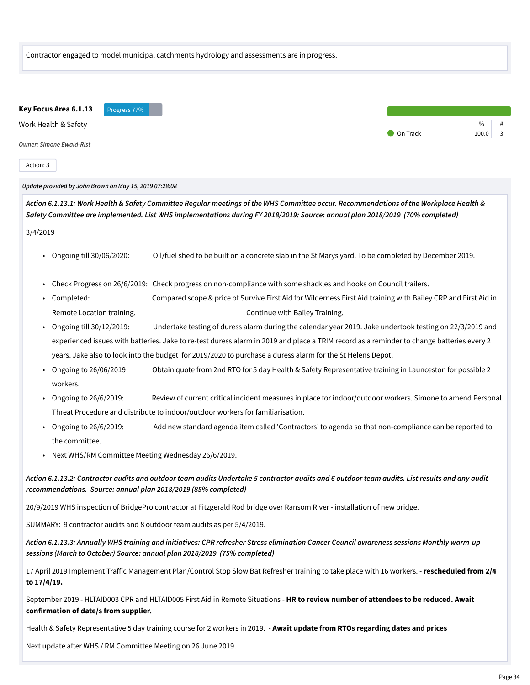| Contractor engaged to model municipal catchments hydrology and assessments are in progress. |  |
|---------------------------------------------------------------------------------------------|--|
|---------------------------------------------------------------------------------------------|--|



Action: 3

*Update provided by John Brown on May 15, 2019 07:28:08*

*Action 6.1.13.1: Work Health & Safety Committee Regular meetings of the WHS Committee occur. Recommendations of the Workplace Health & Safety Committee are implemented. List WHS implementations during FY 2018/2019: Source: annual plan 2018/2019 (70% completed)* 3/4/2019

- Ongoing till 30/06/2020: Oil/fuel shed to be built on a concrete slab in the St Marys yard. To be completed by December 2019.
- Check Progress on 26/6/2019: Check progress on non-compliance with some shackles and hooks on Council trailers.
- Completed: Compared scope & price of Survive First Aid for Wilderness First Aid training with Bailey CRP and First Aid in Remote Location training. The continue with Bailey Training.
- Ongoing till 30/12/2019: Undertake testing of duress alarm during the calendar year 2019. Jake undertook testing on 22/3/2019 and experienced issues with batteries. Jake to re-test duress alarm in 2019 and place a TRIM record as a reminder to change batteries every 2 years. Jake also to look into the budget for 2019/2020 to purchase a duress alarm for the St Helens Depot.
- Ongoing to 26/06/2019 Obtain quote from 2nd RTO for 5 day Health & Safety Representative training in Launceston for possible 2 workers.
- Ongoing to 26/6/2019: Review of current critical incident measures in place for indoor/outdoor workers. Simone to amend Personal Threat Procedure and distribute to indoor/outdoor workers for familiarisation.
- Ongoing to 26/6/2019: Add new standard agenda item called 'Contractors' to agenda so that non-compliance can be reported to the committee.
- Next WHS/RM Committee Meeting Wednesday 26/6/2019.

*Action 6.1.13.2: Contractor audits and outdoor team audits Undertake 5 contractor audits and 6 outdoor team audits. List results and any audit recommendations. Source: annual plan 2018/2019 (85% completed)*

20/9/2019 WHS inspection of BridgePro contractor at Fitzgerald Rod bridge over Ransom River - installation of new bridge.

SUMMARY: 9 contractor audits and 8 outdoor team audits as per 5/4/2019.

*Action 6.1.13.3: Annually WHS training and initiatives: CPR refresher Stress elimination Cancer Council awareness sessions Monthly warm-up sessions (March to October) Source: annual plan 2018/2019 (75% completed)*

17 April 2019 Implement Traffic Management Plan/Control Stop Slow Bat Refresher training to take place with 16 workers. - **rescheduled from 2/4 to 17/4/19.**

September 2019 - HLTAID003 CPR and HLTAID005 First Aid in Remote Situations - **HR to review number of attendees to be reduced. Await confirmation of date/s from supplier.**

Health & Safety Representative 5 day training course for 2 workers in 2019. - **Await update from RTOs regarding dates and prices**

Next update after WHS / RM Committee Meeting on 26 June 2019.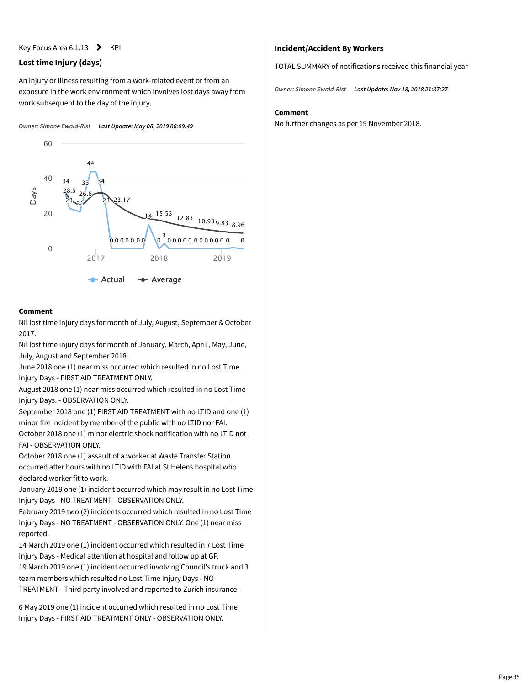#### Key Focus Area 6.1.13  $\blacktriangleright$  KPI

#### **Lost time Injury (days)**

An injury or illness resulting from a work-related event or from an exposure in the work environment which involves lost days away from work subsequent to the day of the injury.

*Owner: Simone Ewald-Rist Last Update: May 08, 2019 06:09:49*



#### **Comment**

Nil lost time injury days for month of July, August, September & October 2017.

Nil lost time injury days for month of January, March, April , May, June, July, August and September 2018 .

June 2018 one (1) near miss occurred which resulted in no Lost Time Injury Days - FIRST AID TREATMENT ONLY.

August 2018 one (1) near miss occurred which resulted in no Lost Time Injury Days. - OBSERVATION ONLY.

September 2018 one (1) FIRST AID TREATMENT with no LTID and one (1) minor fire incident by member of the public with no LTID nor FAI. October 2018 one (1) minor electric shock notification with no LTID not FAI - OBSERVATION ONLY.

October 2018 one (1) assault of a worker at Waste Transfer Station occurred after hours with no LTID with FAI at St Helens hospital who declared worker fit to work.

January 2019 one (1) incident occurred which may result in no Lost Time Injury Days - NO TREATMENT - OBSERVATION ONLY.

February 2019 two (2) incidents occurred which resulted in no Lost Time Injury Days - NO TREATMENT - OBSERVATION ONLY. One (1) near miss reported.

14 March 2019 one (1) incident occurred which resulted in 7 Lost Time Injury Days - Medical attention at hospital and follow up at GP. 19 March 2019 one (1) incident occurred involving Council's truck and 3

team members which resulted no Lost Time Injury Days - NO TREATMENT - Third party involved and reported to Zurich insurance.

6 May 2019 one (1) incident occurred which resulted in no Lost Time Injury Days - FIRST AID TREATMENT ONLY - OBSERVATION ONLY.

#### **Incident/Accident By Workers**

TOTAL SUMMARY of notifications received this financial year

*Owner: Simone Ewald-Rist Last Update: Nov 18, 2018 21:37:27*

#### **Comment**

No further changes as per 19 November 2018.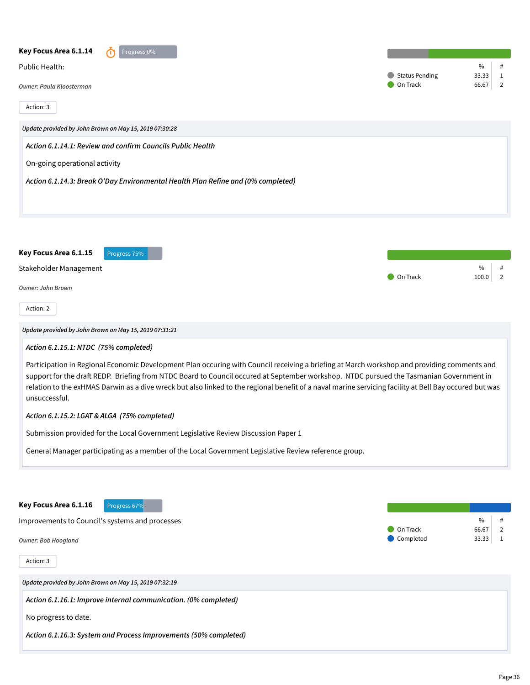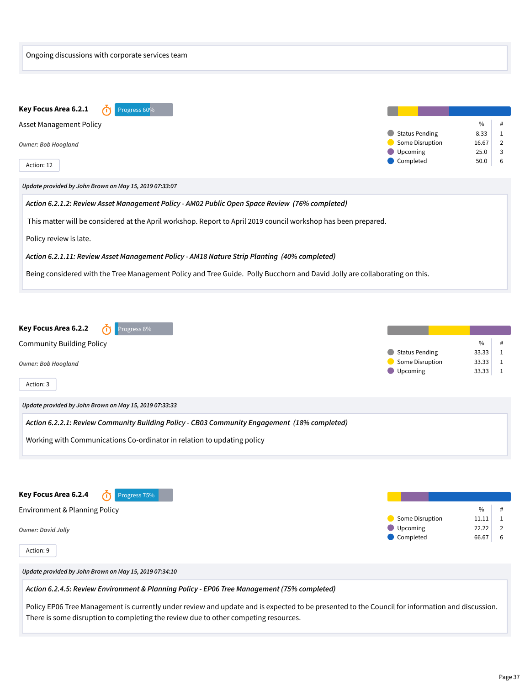| Ongoing discussions with corporate services team                                                                                                                                                                                                                                                                                                                       |                                                                                                                                                             |
|------------------------------------------------------------------------------------------------------------------------------------------------------------------------------------------------------------------------------------------------------------------------------------------------------------------------------------------------------------------------|-------------------------------------------------------------------------------------------------------------------------------------------------------------|
| Key Focus Area 6.2.1<br>Progress 60%<br>Asset Management Policy<br><b>Owner: Bob Hoogland</b><br>Action: 12                                                                                                                                                                                                                                                            | $\%$<br>#<br><b>Status Pending</b><br>8.33<br>$\mathbf{1}$<br>Some Disruption<br>16.67<br>$\overline{2}$<br>Upcoming<br>25.0<br>3<br>Completed<br>6<br>50.0 |
| Update provided by John Brown on May 15, 2019 07:33:07<br>Action 6.2.1.2: Review Asset Management Policy - AM02 Public Open Space Review (76% completed)                                                                                                                                                                                                               |                                                                                                                                                             |
| This matter will be considered at the April workshop. Report to April 2019 council workshop has been prepared.<br>Policy review is late.<br>Action 6.2.1.11: Review Asset Management Policy - AM18 Nature Strip Planting (40% completed)<br>Being considered with the Tree Management Policy and Tree Guide. Polly Bucchorn and David Jolly are collaborating on this. |                                                                                                                                                             |
| Key Focus Area 6.2.2<br>Progress 6%<br>Œ<br><b>Community Building Policy</b><br>Owner: Bob Hoogland<br>Action: 3                                                                                                                                                                                                                                                       | $\%$<br>#<br><b>Status Pending</b><br>$\mathbf{1}$<br>33.33<br>Some Disruption<br>33.33<br>1<br>Upcoming<br>33.33<br>$\mathbf{1}$                           |
| Update provided by John Brown on May 15, 2019 07:33:33                                                                                                                                                                                                                                                                                                                 |                                                                                                                                                             |
| Action 6.2.2.1: Review Community Building Policy - CB03 Community Engagement (18% completed)<br>Working with Communications Co-ordinator in relation to updating policy                                                                                                                                                                                                |                                                                                                                                                             |
| Key Focus Area 6.2.4<br>Progress <sub>75%</sub><br>Environment & Planning Policy<br><b>Owner: David Jolly</b><br>Action: 9                                                                                                                                                                                                                                             | $\%$<br>#<br>Some Disruption<br>$\mathbf{1}$<br>11.11<br>Upcoming<br>22.22<br>$\overline{2}$<br>Completed<br>6<br>66.67                                     |
| Update provided by John Brown on May 15, 2019 07:34:10                                                                                                                                                                                                                                                                                                                 |                                                                                                                                                             |
| Action 6.2.4.5: Review Environment & Planning Policy - EP06 Tree Management (75% completed)<br>Policy EP06 Tree Management is currently under review and update and is expected to be presented to the Council for information and discussion.<br>There is some disruption to completing the review due to other competing resources.                                  |                                                                                                                                                             |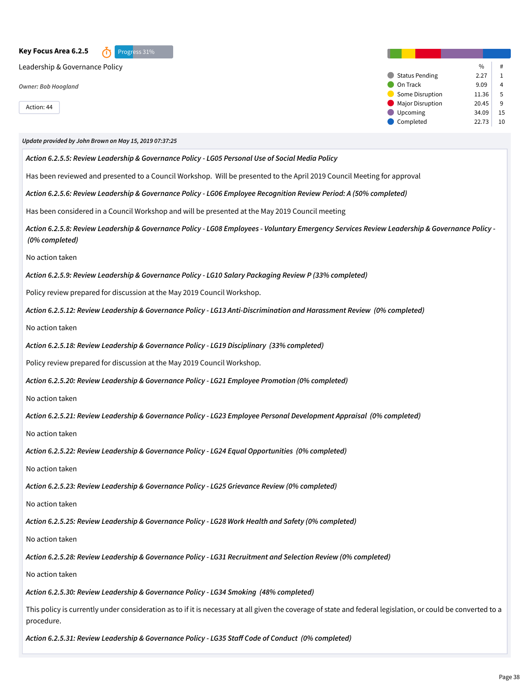**Key Focus Area 6.2.5** *O* Progress 31% Leadership & Governance Policy *Owner: Bob Hoogland* Action: 44  $\frac{0}{6}$  #  $\bullet$  Status Pending 2.27 1 On Track 9.09 4 Some Disruption 11.36 5 Major Disruption 20.45 9 Upcoming 34.09 15  $\bullet$  Completed 22.73 10 *Update provided by John Brown on May 15, 2019 07:37:25 Action 6.2.5.5: Review Leadership & Governance Policy - LG05 Personal Use of Social Media Policy* Has been reviewed and presented to a Council Workshop. Will be presented to the April 2019 Council Meeting for approval *Action 6.2.5.6: Review Leadership & Governance Policy - LG06 Employee Recognition Review Period: A (50% completed)* Has been considered in a Council Workshop and will be presented at the May 2019 Council meeting *Action 6.2.5.8: Review Leadership & Governance Policy - LG08 Employees - Voluntary Emergency Services Review Leadership & Governance Policy - (0% completed)* No action taken *Action 6.2.5.9: Review Leadership & Governance Policy - LG10 Salary Packaging Review P (33% completed)* Policy review prepared for discussion at the May 2019 Council Workshop. *Action 6.2.5.12: Review Leadership & Governance Policy - LG13 Anti-Discrimination and Harassment Review (0% completed)* No action taken *Action 6.2.5.18: Review Leadership & Governance Policy - LG19 Disciplinary (33% completed)* Policy review prepared for discussion at the May 2019 Council Workshop. *Action 6.2.5.20: Review Leadership & Governance Policy - LG21 Employee Promotion (0% completed)* No action taken *Action 6.2.5.21: Review Leadership & Governance Policy - LG23 Employee Personal Development Appraisal (0% completed)* No action taken *Action 6.2.5.22: Review Leadership & Governance Policy - LG24 Equal Opportunities (0% completed)* No action taken *Action 6.2.5.23: Review Leadership & Governance Policy - LG25 Grievance Review (0% completed)* No action taken *Action 6.2.5.25: Review Leadership & Governance Policy - LG28 Work Health and Safety (0% completed)* No action taken *Action 6.2.5.28: Review Leadership & Governance Policy - LG31 Recruitment and Selection Review (0% completed)* No action taken *Action 6.2.5.30: Review Leadership & Governance Policy - LG34 Smoking (48% completed)* This policy is currently under consideration as to if it is necessary at all given the coverage of state and federal legislation, or could be converted to a procedure.

*Action 6.2.5.31: Review Leadership & Governance Policy - LG35 Staff Code of Conduct (0% completed)*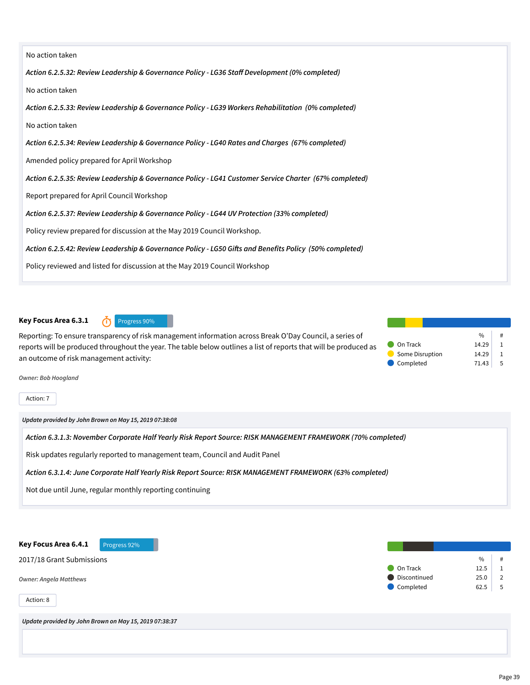| No action taken                                                                                         |
|---------------------------------------------------------------------------------------------------------|
| Action 6.2.5.32: Review Leadership & Governance Policy - LG36 Staff Development (0% completed)          |
| No action taken                                                                                         |
| Action 6.2.5.33: Review Leadership & Governance Policy - LG39 Workers Rehabilitation (0% completed)     |
| No action taken                                                                                         |
| Action 6.2.5.34: Review Leadership & Governance Policy - LG40 Rates and Charges (67% completed)         |
| Amended policy prepared for April Workshop                                                              |
| Action 6.2.5.35: Review Leadership & Governance Policy - LG41 Customer Service Charter (67% completed)  |
| Report prepared for April Council Workshop                                                              |
| Action 6.2.5.37: Review Leadership & Governance Policy - LG44 UV Protection (33% completed)             |
| Policy review prepared for discussion at the May 2019 Council Workshop.                                 |
| Action 6.2.5.42: Review Leadership & Governance Policy - LG50 Gifts and Benefits Policy (50% completed) |
| Policy reviewed and listed for discussion at the May 2019 Council Workshop                              |

### **Key Focus Area 6.3.1** *O* Progress 90%



Reporting: To ensure transparency of risk management information across Break O'Day Council, a series of reports will be produced throughout the year. The table below outlines a list of reports that will be produced as an outcome of risk management activity:

|                 | 0/6   | # |
|-----------------|-------|---|
| On Track        | 14.29 |   |
| Some Disruption | 14.29 |   |
| Completed       | 71.43 | 5 |

*Owner: Bob Hoogland*

Action: 7

*Update provided by John Brown on May 15, 2019 07:38:08*

*Action 6.3.1.3: November Corporate Half Yearly Risk Report Source: RISK MANAGEMENT FRAMEWORK (70% completed)*

Risk updates regularly reported to management team, Council and Audit Panel

*Action 6.3.1.4: June Corporate Half Yearly Risk Report Source: RISK MANAGEMENT FRAMEWORK (63% completed)*

Not due until June, regular monthly reporting continuing